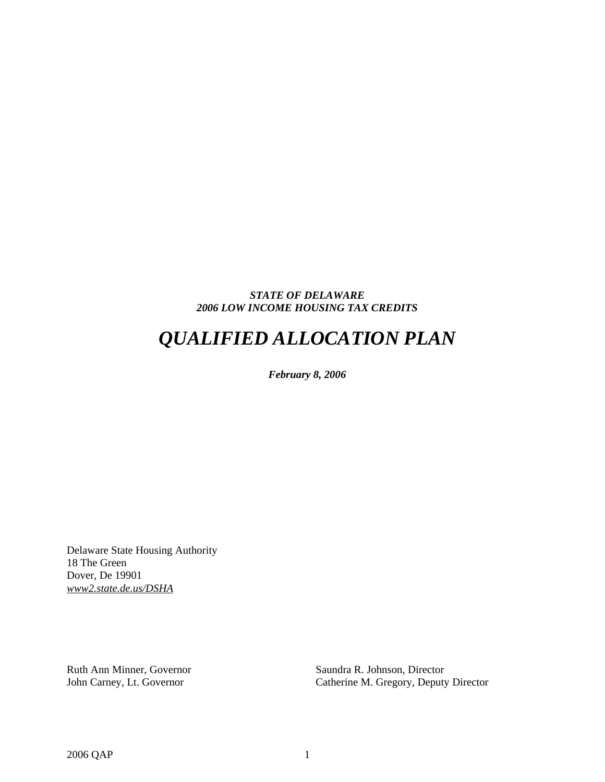## *STATE OF DELAWARE 2006 LOW INCOME HOUSING TAX CREDITS*

# *QUALIFIED ALLOCATION PLAN*

*February 8, 2006* 

Delaware State Housing Authority 18 The Green Dover, De 19901 *www2.state.de.us/DSHA*

Ruth Ann Minner, Governor Saundra R. Johnson, Director

John Carney, Lt. Governor Catherine M. Gregory, Deputy Director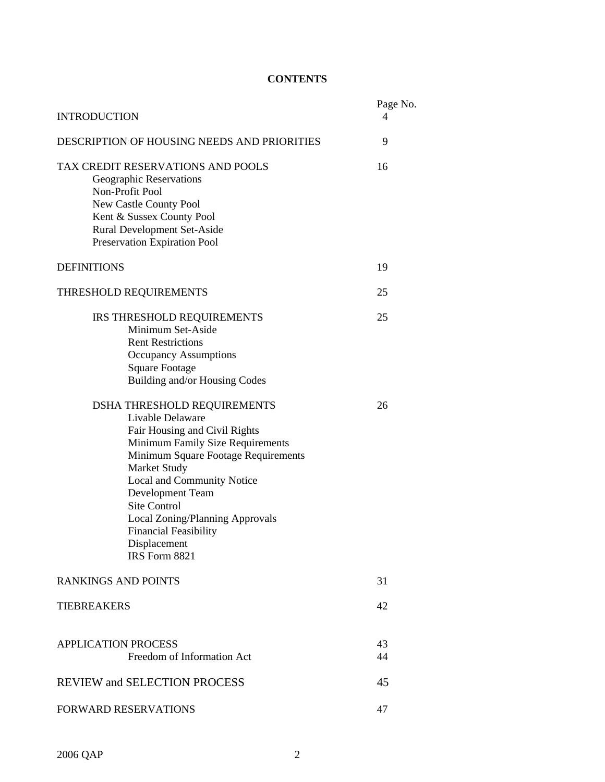## **CONTENTS**

| <b>INTRODUCTION</b>                                                                                                                                                                                                                                                                                                                                      | Page No.<br>4 |  |  |  |  |  |  |  |
|----------------------------------------------------------------------------------------------------------------------------------------------------------------------------------------------------------------------------------------------------------------------------------------------------------------------------------------------------------|---------------|--|--|--|--|--|--|--|
| DESCRIPTION OF HOUSING NEEDS AND PRIORITIES                                                                                                                                                                                                                                                                                                              |               |  |  |  |  |  |  |  |
| TAX CREDIT RESERVATIONS AND POOLS<br>Geographic Reservations<br>Non-Profit Pool<br>New Castle County Pool<br>Kent & Sussex County Pool<br><b>Rural Development Set-Aside</b><br>Preservation Expiration Pool                                                                                                                                             | 16            |  |  |  |  |  |  |  |
| <b>DEFINITIONS</b>                                                                                                                                                                                                                                                                                                                                       | 19            |  |  |  |  |  |  |  |
| THRESHOLD REQUIREMENTS                                                                                                                                                                                                                                                                                                                                   | 25            |  |  |  |  |  |  |  |
| IRS THRESHOLD REQUIREMENTS<br>Minimum Set-Aside<br><b>Rent Restrictions</b><br><b>Occupancy Assumptions</b><br><b>Square Footage</b><br>Building and/or Housing Codes                                                                                                                                                                                    | 25            |  |  |  |  |  |  |  |
| DSHA THRESHOLD REQUIREMENTS<br>Livable Delaware<br>Fair Housing and Civil Rights<br>Minimum Family Size Requirements<br>Minimum Square Footage Requirements<br>Market Study<br>Local and Community Notice<br>Development Team<br><b>Site Control</b><br>Local Zoning/Planning Approvals<br><b>Financial Feasibility</b><br>Displacement<br>IRS Form 8821 | 26            |  |  |  |  |  |  |  |
| <b>RANKINGS AND POINTS</b>                                                                                                                                                                                                                                                                                                                               | 31            |  |  |  |  |  |  |  |
| <b>TIEBREAKERS</b>                                                                                                                                                                                                                                                                                                                                       | 42            |  |  |  |  |  |  |  |
| <b>APPLICATION PROCESS</b><br>Freedom of Information Act                                                                                                                                                                                                                                                                                                 | 43<br>44      |  |  |  |  |  |  |  |
| <b>REVIEW and SELECTION PROCESS</b>                                                                                                                                                                                                                                                                                                                      | 45            |  |  |  |  |  |  |  |
| <b>FORWARD RESERVATIONS</b>                                                                                                                                                                                                                                                                                                                              | 47            |  |  |  |  |  |  |  |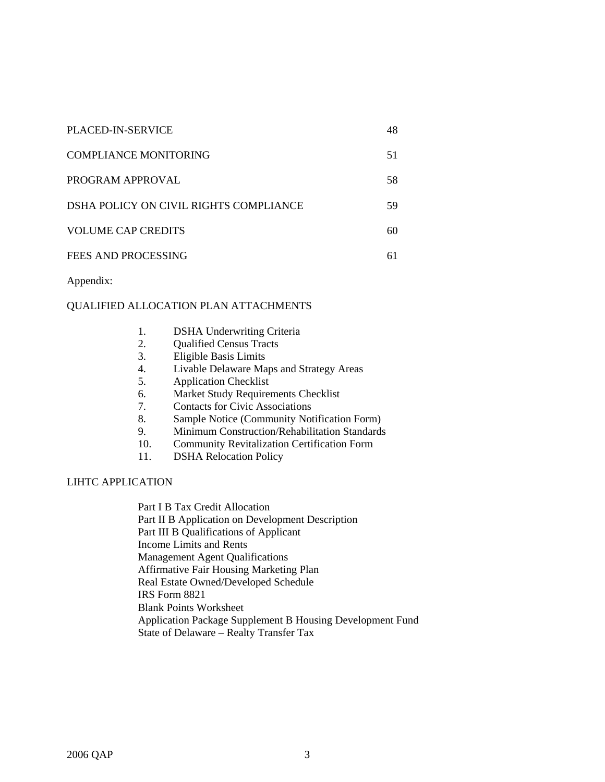| <b>PLACED-IN-SERVICE</b>               | 48 |
|----------------------------------------|----|
| COMPLIANCE MONITORING                  | 51 |
| PROGRAM APPROVAL                       | 58 |
| DSHA POLICY ON CIVIL RIGHTS COMPLIANCE | 59 |
| <b>VOLUME CAP CREDITS</b>              | 60 |
| FEES AND PROCESSING                    | 61 |

Appendix:

## QUALIFIED ALLOCATION PLAN ATTACHMENTS

- 1. DSHA Underwriting Criteria
- 2. Qualified Census Tracts
- 3. Eligible Basis Limits
- 4. Livable Delaware Maps and Strategy Areas
- 5. Application Checklist
- 6. Market Study Requirements Checklist
- 7. Contacts for Civic Associations
- 8. Sample Notice (Community Notification Form)
- 9. Minimum Construction/Rehabilitation Standards
- 10. Community Revitalization Certification Form
- 11. DSHA Relocation Policy

## LIHTC APPLICATION

Part I B Tax Credit Allocation Part II B Application on Development Description Part III B Qualifications of Applicant Income Limits and Rents Management Agent Qualifications Affirmative Fair Housing Marketing Plan Real Estate Owned/Developed Schedule IRS Form 8821 Blank Points Worksheet Application Package Supplement B Housing Development Fund State of Delaware – Realty Transfer Tax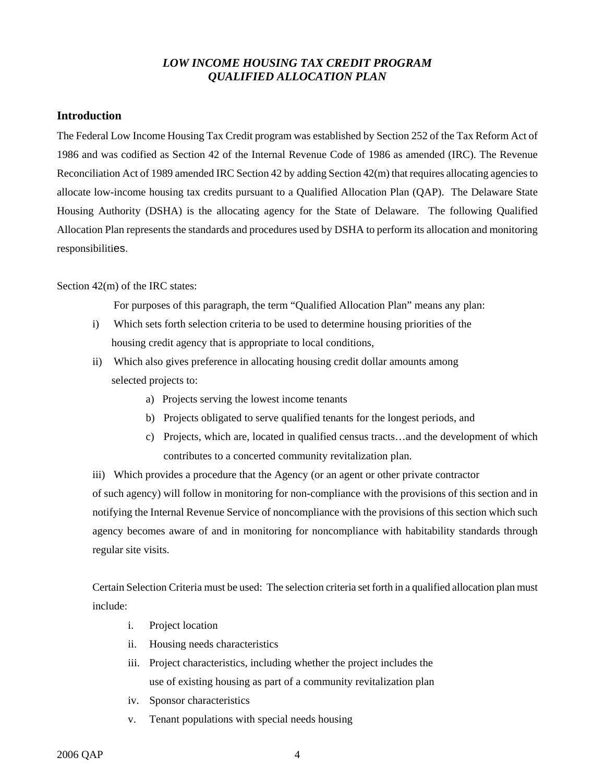## *LOW INCOME HOUSING TAX CREDIT PROGRAM QUALIFIED ALLOCATION PLAN*

## **Introduction**

The Federal Low Income Housing Tax Credit program was established by Section 252 of the Tax Reform Act of 1986 and was codified as Section 42 of the Internal Revenue Code of 1986 as amended (IRC). The Revenue Reconciliation Act of 1989 amended IRC Section 42 by adding Section 42(m) that requires allocating agencies to allocate low-income housing tax credits pursuant to a Qualified Allocation Plan (QAP). The Delaware State Housing Authority (DSHA) is the allocating agency for the State of Delaware. The following Qualified Allocation Plan represents the standards and procedures used by DSHA to perform its allocation and monitoring responsibilities.

## Section 42(m) of the IRC states:

For purposes of this paragraph, the term "Qualified Allocation Plan" means any plan:

- i) Which sets forth selection criteria to be used to determine housing priorities of the housing credit agency that is appropriate to local conditions,
- ii) Which also gives preference in allocating housing credit dollar amounts among selected projects to:
	- a) Projects serving the lowest income tenants
	- b) Projects obligated to serve qualified tenants for the longest periods, and
	- c) Projects, which are, located in qualified census tracts…and the development of which contributes to a concerted community revitalization plan.

iii) Which provides a procedure that the Agency (or an agent or other private contractor of such agency) will follow in monitoring for non-compliance with the provisions of this section and in notifying the Internal Revenue Service of noncompliance with the provisions of this section which such agency becomes aware of and in monitoring for noncompliance with habitability standards through regular site visits.

Certain Selection Criteria must be used: The selection criteria set forth in a qualified allocation plan must include:

- i. Project location
- ii. Housing needs characteristics
- iii. Project characteristics, including whether the project includes the use of existing housing as part of a community revitalization plan
- iv. Sponsor characteristics
- v. Tenant populations with special needs housing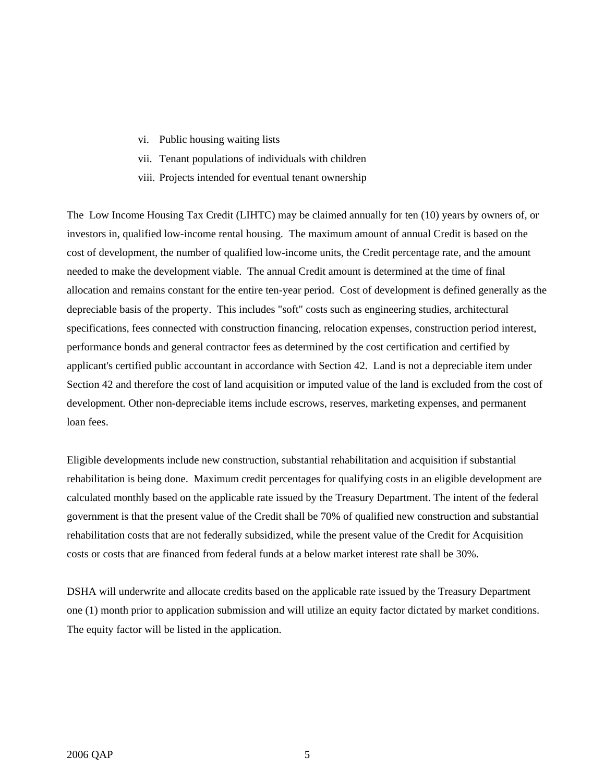- vi. Public housing waiting lists
- vii. Tenant populations of individuals with children
- viii. Projects intended for eventual tenant ownership

The Low Income Housing Tax Credit (LIHTC) may be claimed annually for ten (10) years by owners of, or investors in, qualified low-income rental housing. The maximum amount of annual Credit is based on the cost of development, the number of qualified low-income units, the Credit percentage rate, and the amount needed to make the development viable. The annual Credit amount is determined at the time of final allocation and remains constant for the entire ten-year period. Cost of development is defined generally as the depreciable basis of the property. This includes "soft" costs such as engineering studies, architectural specifications, fees connected with construction financing, relocation expenses, construction period interest, performance bonds and general contractor fees as determined by the cost certification and certified by applicant's certified public accountant in accordance with Section 42. Land is not a depreciable item under Section 42 and therefore the cost of land acquisition or imputed value of the land is excluded from the cost of development. Other non-depreciable items include escrows, reserves, marketing expenses, and permanent loan fees.

Eligible developments include new construction, substantial rehabilitation and acquisition if substantial rehabilitation is being done. Maximum credit percentages for qualifying costs in an eligible development are calculated monthly based on the applicable rate issued by the Treasury Department. The intent of the federal government is that the present value of the Credit shall be 70% of qualified new construction and substantial rehabilitation costs that are not federally subsidized, while the present value of the Credit for Acquisition costs or costs that are financed from federal funds at a below market interest rate shall be 30%.

DSHA will underwrite and allocate credits based on the applicable rate issued by the Treasury Department one (1) month prior to application submission and will utilize an equity factor dictated by market conditions. The equity factor will be listed in the application.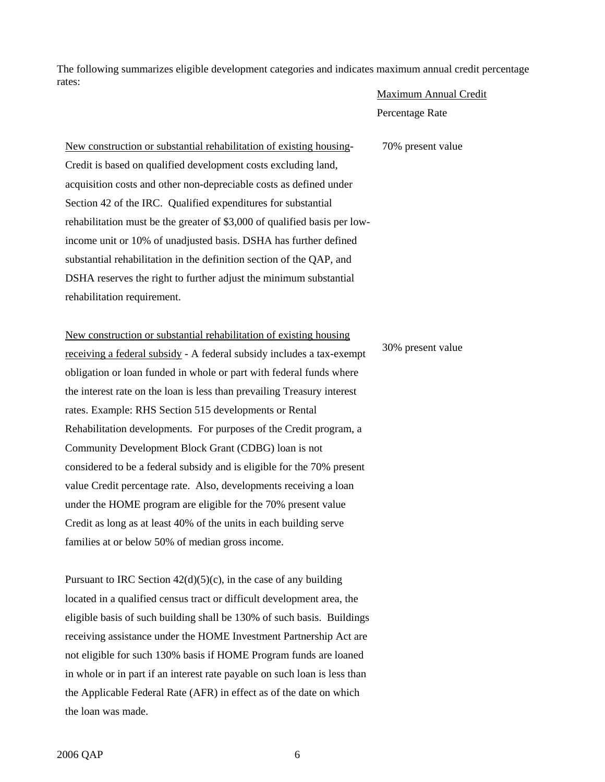The following summarizes eligible development categories and indicates maximum annual credit percentage rates:

#### Maximum Annual Credit

Percentage Rate

70% present value

New construction or substantial rehabilitation of existing housing-Credit is based on qualified development costs excluding land, acquisition costs and other non-depreciable costs as defined under Section 42 of the IRC. Qualified expenditures for substantial rehabilitation must be the greater of \$3,000 of qualified basis per lowincome unit or 10% of unadjusted basis. DSHA has further defined substantial rehabilitation in the definition section of the QAP, and DSHA reserves the right to further adjust the minimum substantial rehabilitation requirement.

New construction or substantial rehabilitation of existing housing receiving a federal subsidy - A federal subsidy includes a tax-exempt obligation or loan funded in whole or part with federal funds where the interest rate on the loan is less than prevailing Treasury interest rates. Example: RHS Section 515 developments or Rental Rehabilitation developments. For purposes of the Credit program, a Community Development Block Grant (CDBG) loan is not considered to be a federal subsidy and is eligible for the 70% present value Credit percentage rate. Also, developments receiving a loan under the HOME program are eligible for the 70% present value Credit as long as at least 40% of the units in each building serve families at or below 50% of median gross income.

Pursuant to IRC Section  $42(d)(5)(c)$ , in the case of any building located in a qualified census tract or difficult development area, the eligible basis of such building shall be 130% of such basis. Buildings receiving assistance under the HOME Investment Partnership Act are not eligible for such 130% basis if HOME Program funds are loaned in whole or in part if an interest rate payable on such loan is less than the Applicable Federal Rate (AFR) in effect as of the date on which the loan was made.

30% present value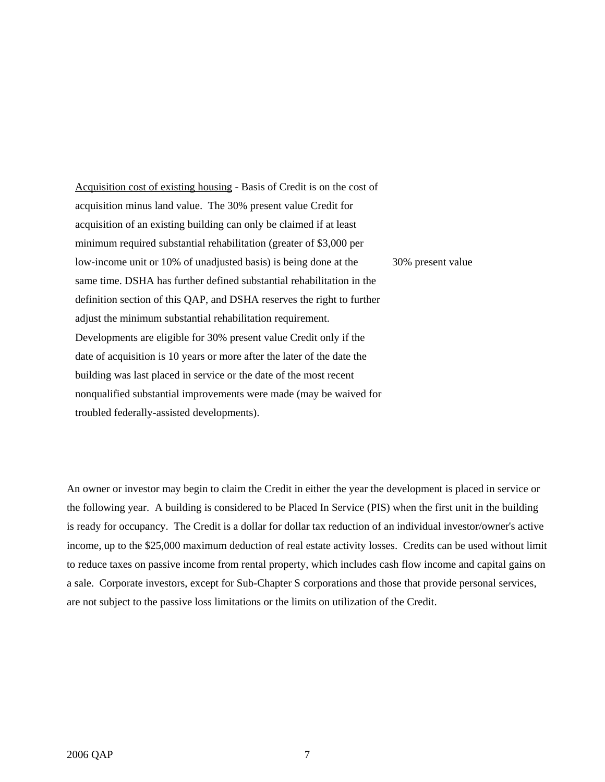Acquisition cost of existing housing - Basis of Credit is on the cost of acquisition minus land value. The 30% present value Credit for acquisition of an existing building can only be claimed if at least minimum required substantial rehabilitation (greater of \$3,000 per low-income unit or 10% of unadjusted basis) is being done at the same time. DSHA has further defined substantial rehabilitation in the definition section of this QAP, and DSHA reserves the right to further adjust the minimum substantial rehabilitation requirement. Developments are eligible for 30% present value Credit only if the date of acquisition is 10 years or more after the later of the date the building was last placed in service or the date of the most recent nonqualified substantial improvements were made (may be waived for troubled federally-assisted developments). 30% present value

An owner or investor may begin to claim the Credit in either the year the development is placed in service or the following year. A building is considered to be Placed In Service (PIS) when the first unit in the building is ready for occupancy. The Credit is a dollar for dollar tax reduction of an individual investor/owner's active income, up to the \$25,000 maximum deduction of real estate activity losses. Credits can be used without limit to reduce taxes on passive income from rental property, which includes cash flow income and capital gains on a sale. Corporate investors, except for Sub-Chapter S corporations and those that provide personal services, are not subject to the passive loss limitations or the limits on utilization of the Credit.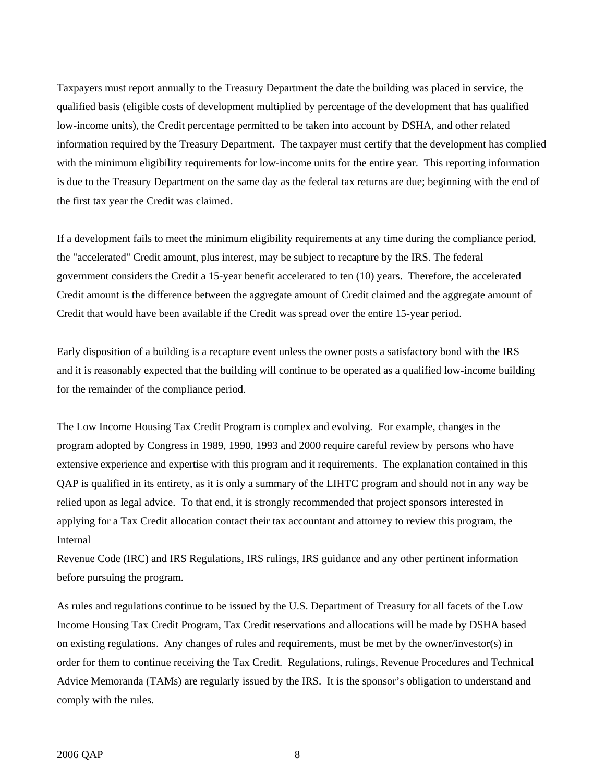Taxpayers must report annually to the Treasury Department the date the building was placed in service, the qualified basis (eligible costs of development multiplied by percentage of the development that has qualified low-income units), the Credit percentage permitted to be taken into account by DSHA, and other related information required by the Treasury Department. The taxpayer must certify that the development has complied with the minimum eligibility requirements for low-income units for the entire year. This reporting information is due to the Treasury Department on the same day as the federal tax returns are due; beginning with the end of the first tax year the Credit was claimed.

If a development fails to meet the minimum eligibility requirements at any time during the compliance period, the "accelerated" Credit amount, plus interest, may be subject to recapture by the IRS. The federal government considers the Credit a 15-year benefit accelerated to ten (10) years. Therefore, the accelerated Credit amount is the difference between the aggregate amount of Credit claimed and the aggregate amount of Credit that would have been available if the Credit was spread over the entire 15-year period.

Early disposition of a building is a recapture event unless the owner posts a satisfactory bond with the IRS and it is reasonably expected that the building will continue to be operated as a qualified low-income building for the remainder of the compliance period.

The Low Income Housing Tax Credit Program is complex and evolving. For example, changes in the program adopted by Congress in 1989, 1990, 1993 and 2000 require careful review by persons who have extensive experience and expertise with this program and it requirements. The explanation contained in this QAP is qualified in its entirety, as it is only a summary of the LIHTC program and should not in any way be relied upon as legal advice. To that end, it is strongly recommended that project sponsors interested in applying for a Tax Credit allocation contact their tax accountant and attorney to review this program, the Internal

Revenue Code (IRC) and IRS Regulations, IRS rulings, IRS guidance and any other pertinent information before pursuing the program.

As rules and regulations continue to be issued by the U.S. Department of Treasury for all facets of the Low Income Housing Tax Credit Program, Tax Credit reservations and allocations will be made by DSHA based on existing regulations. Any changes of rules and requirements, must be met by the owner/investor(s) in order for them to continue receiving the Tax Credit. Regulations, rulings, Revenue Procedures and Technical Advice Memoranda (TAMs) are regularly issued by the IRS. It is the sponsor's obligation to understand and comply with the rules.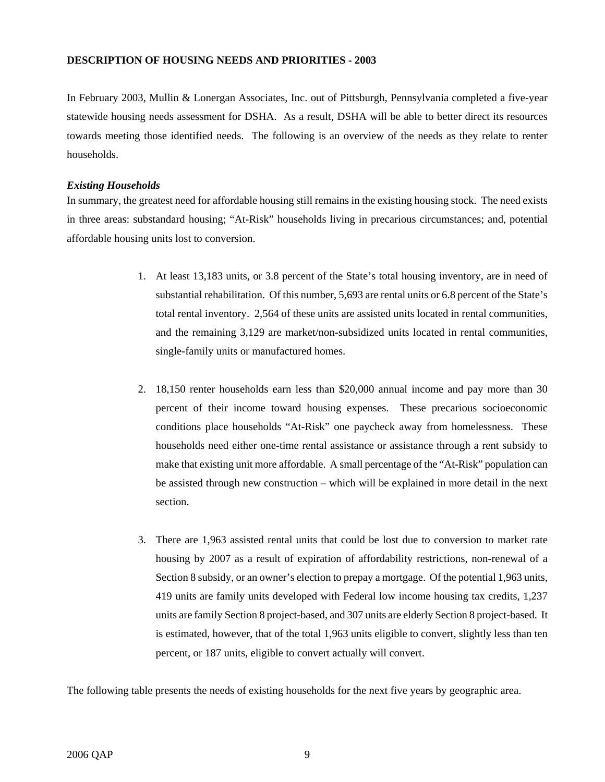## **DESCRIPTION OF HOUSING NEEDS AND PRIORITIES - 2003**

In February 2003, Mullin & Lonergan Associates, Inc. out of Pittsburgh, Pennsylvania completed a five-year statewide housing needs assessment for DSHA. As a result, DSHA will be able to better direct its resources towards meeting those identified needs. The following is an overview of the needs as they relate to renter households.

## *Existing Households*

In summary, the greatest need for affordable housing still remains in the existing housing stock. The need exists in three areas: substandard housing; "At-Risk" households living in precarious circumstances; and, potential affordable housing units lost to conversion.

- 1. At least 13,183 units, or 3.8 percent of the State's total housing inventory, are in need of substantial rehabilitation. Of this number, 5,693 are rental units or 6.8 percent of the State's total rental inventory. 2,564 of these units are assisted units located in rental communities, and the remaining 3,129 are market/non-subsidized units located in rental communities, single-family units or manufactured homes.
- 2. 18,150 renter households earn less than \$20,000 annual income and pay more than 30 percent of their income toward housing expenses. These precarious socioeconomic conditions place households "At-Risk" one paycheck away from homelessness. These households need either one-time rental assistance or assistance through a rent subsidy to make that existing unit more affordable. A small percentage of the "At-Risk" population can be assisted through new construction – which will be explained in more detail in the next section.
- 3. There are 1,963 assisted rental units that could be lost due to conversion to market rate housing by 2007 as a result of expiration of affordability restrictions, non-renewal of a Section 8 subsidy, or an owner's election to prepay a mortgage. Of the potential 1,963 units, 419 units are family units developed with Federal low income housing tax credits, 1,237 units are family Section 8 project-based, and 307 units are elderly Section 8 project-based. It is estimated, however, that of the total 1,963 units eligible to convert, slightly less than ten percent, or 187 units, eligible to convert actually will convert.

The following table presents the needs of existing households for the next five years by geographic area.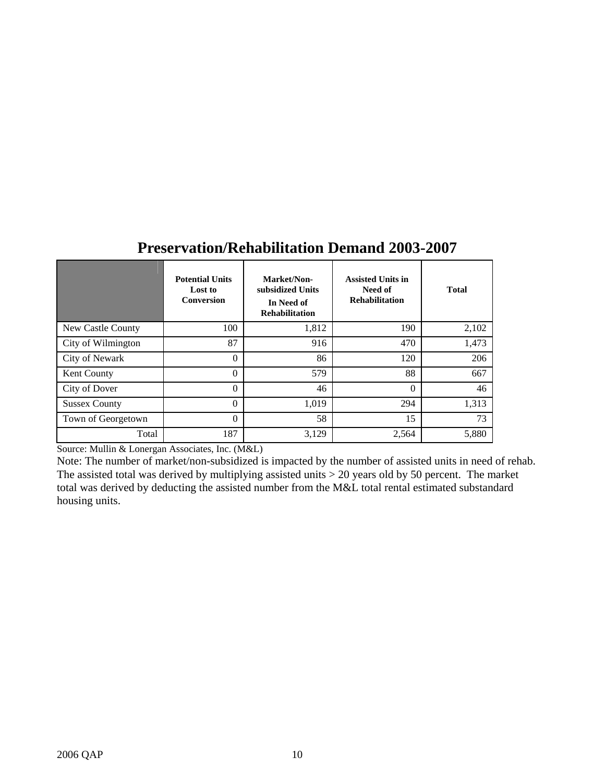|                      | <b>Potential Units</b><br>Lost to<br><b>Conversion</b> | Market/Non-<br>subsidized Units<br>In Need of<br><b>Rehabilitation</b> | <b>Assisted Units in</b><br>Need of<br><b>Rehabilitation</b> | <b>Total</b> |
|----------------------|--------------------------------------------------------|------------------------------------------------------------------------|--------------------------------------------------------------|--------------|
| New Castle County    | 100                                                    | 1,812                                                                  | 190                                                          | 2,102        |
| City of Wilmington   | 87                                                     | 916                                                                    | 470                                                          | 1,473        |
| City of Newark       | $\theta$                                               | 86                                                                     | 120                                                          | 206          |
| Kent County          | $\theta$                                               | 579                                                                    | 88                                                           | 667          |
| City of Dover        | $\theta$                                               | 46                                                                     | $\theta$                                                     | 46           |
| <b>Sussex County</b> | $\Omega$                                               | 1,019                                                                  | 294                                                          | 1,313        |
| Town of Georgetown   | $\theta$                                               | 58                                                                     | 15                                                           | 73           |
| Total                | 187                                                    | 3,129                                                                  | 2,564                                                        | 5,880        |

## **Preservation/Rehabilitation Demand 2003-2007**

Source: Mullin & Lonergan Associates, Inc. (M&L)

Note: The number of market/non-subsidized is impacted by the number of assisted units in need of rehab. The assisted total was derived by multiplying assisted units > 20 years old by 50 percent. The market total was derived by deducting the assisted number from the M&L total rental estimated substandard housing units.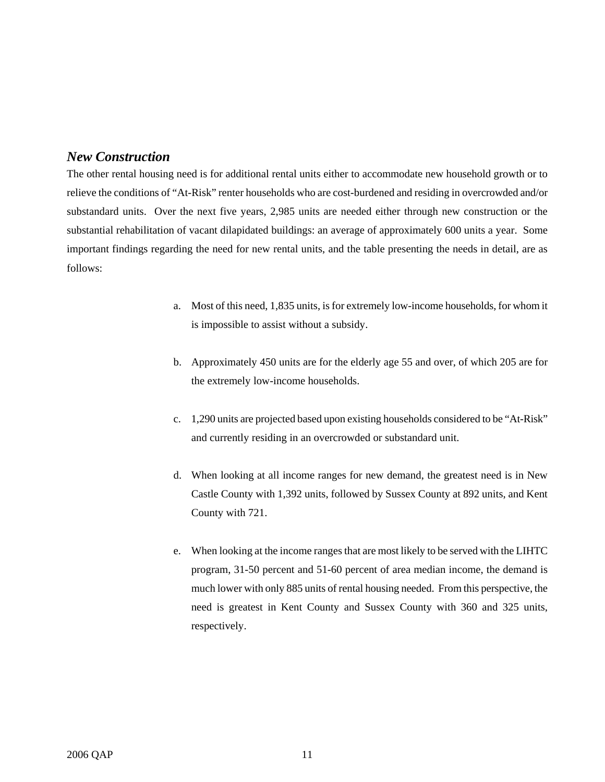## *New Construction*

The other rental housing need is for additional rental units either to accommodate new household growth or to relieve the conditions of "At-Risk" renter households who are cost-burdened and residing in overcrowded and/or substandard units. Over the next five years, 2,985 units are needed either through new construction or the substantial rehabilitation of vacant dilapidated buildings: an average of approximately 600 units a year. Some important findings regarding the need for new rental units, and the table presenting the needs in detail, are as follows:

- a. Most of this need, 1,835 units, is for extremely low-income households, for whom it is impossible to assist without a subsidy.
- b. Approximately 450 units are for the elderly age 55 and over, of which 205 are for the extremely low-income households.
- c. 1,290 units are projected based upon existing households considered to be "At-Risk" and currently residing in an overcrowded or substandard unit.
- d. When looking at all income ranges for new demand, the greatest need is in New Castle County with 1,392 units, followed by Sussex County at 892 units, and Kent County with 721.
- e. When looking at the income ranges that are most likely to be served with the LIHTC program, 31-50 percent and 51-60 percent of area median income, the demand is much lower with only 885 units of rental housing needed. From this perspective, the need is greatest in Kent County and Sussex County with 360 and 325 units, respectively.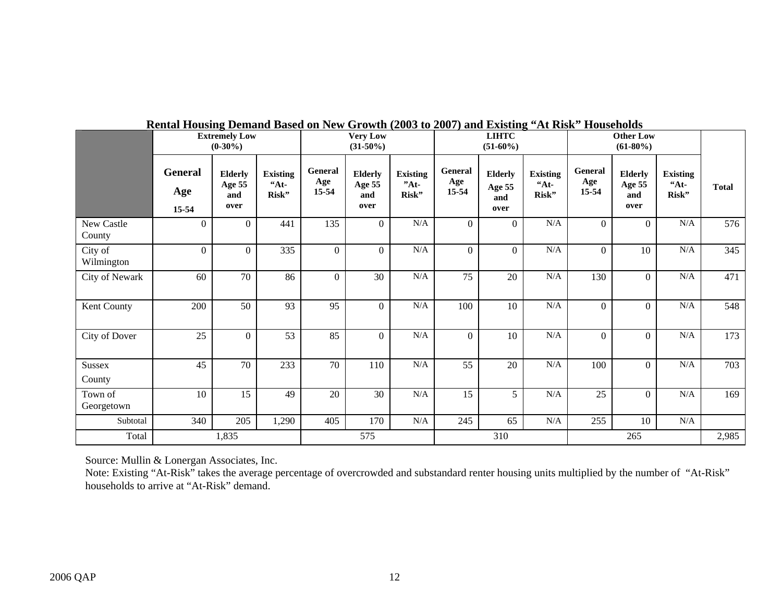|                       | <b>Extremely Low</b><br>$(0-30\%)$ |                                         |                                | <b>Very Low</b><br>$(31-50\%)$ |                                         |                                    | <b>LIHTC</b><br>$(51-60\%)$ |                                         |                                   |                         |                                         |                                     |              |
|-----------------------|------------------------------------|-----------------------------------------|--------------------------------|--------------------------------|-----------------------------------------|------------------------------------|-----------------------------|-----------------------------------------|-----------------------------------|-------------------------|-----------------------------------------|-------------------------------------|--------------|
|                       | <b>General</b><br>Age<br>15-54     | <b>Elderly</b><br>Age 55<br>and<br>over | <b>Existing</b><br>44<br>Risk" | General<br>Age<br>$15 - 54$    | <b>Elderly</b><br>Age 55<br>and<br>over | <b>Existing</b><br>$"At-$<br>Risk" | General<br>Age<br>15-54     | <b>Elderly</b><br>Age 55<br>and<br>over | <b>Existing</b><br>$A_t$<br>Risk" | General<br>Age<br>15-54 | <b>Elderly</b><br>Age 55<br>and<br>over | <b>Existing</b><br>$44t -$<br>Risk" | <b>Total</b> |
| New Castle<br>County  | $\theta$                           | $\Omega$                                | 441                            | 135                            | $\overline{0}$                          | N/A                                | $\mathbf{0}$                | $\Omega$                                | N/A                               | $\Omega$                | $\Omega$                                | N/A                                 | 576          |
| City of<br>Wilmington | $\mathbf{0}$                       | $\Omega$                                | 335                            | $\theta$                       | $\overline{0}$                          | $\rm N/A$                          | $\boldsymbol{0}$            | $\Omega$                                | $\rm N/A$                         | $\Omega$                | 10                                      | N/A                                 | 345          |
| City of Newark        | 60                                 | 70                                      | 86                             | $\theta$                       | 30                                      | $\rm N/A$                          | 75                          | 20                                      | $\rm N/A$                         | 130                     | $\overline{0}$                          | N/A                                 | 471          |
| Kent County           | 200                                | 50                                      | 93                             | 95                             | $\overline{0}$                          | $\rm N/A$                          | 100                         | 10                                      | $\rm N/A$                         | $\Omega$                | $\Omega$                                | $\rm N/A$                           | 548          |
| City of Dover         | 25                                 | $\Omega$                                | 53                             | 85                             | $\overline{0}$                          | $\rm N/A$                          | $\mathbf{0}$                | 10                                      | $\rm N/A$                         | $\Omega$                | $\Omega$                                | $\rm N/A$                           | 173          |
| Sussex<br>County      | 45                                 | 70                                      | 233                            | 70                             | 110                                     | $\rm N/A$                          | 55                          | 20                                      | $\rm N/A$                         | 100                     | $\overline{0}$                          | N/A                                 | 703          |
| Town of<br>Georgetown | 10                                 | 15                                      | 49                             | 20                             | 30                                      | N/A                                | 15                          | 5                                       | N/A                               | 25                      | $\Omega$                                | N/A                                 | 169          |
| Subtotal              | 340                                | 205                                     | 1,290                          | 405                            | 170                                     | $\rm N/A$                          | 245                         | 65                                      | $\rm N/A$                         | 255                     | 10                                      | N/A                                 |              |
| Total                 | 1,835                              |                                         | 575                            |                                |                                         | 310                                |                             |                                         | 265                               |                         |                                         |                                     |              |

## **Rental Housing Demand Based on New Growth (2003 to 2007) and Existing "At Risk" Households**

Source: Mullin & Lonergan Associates, Inc.

Note: Existing "At-Risk" takes the average percentage of overcrowded and substandard renter housing units multiplied by the number of "At-Risk" households to arrive at "At-Risk" demand.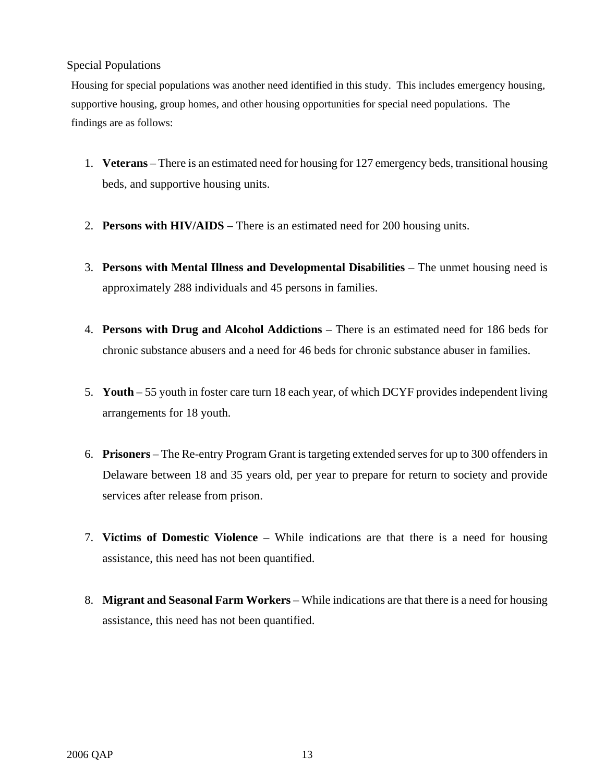## Special Populations

Housing for special populations was another need identified in this study. This includes emergency housing, supportive housing, group homes, and other housing opportunities for special need populations. The findings are as follows:

- 1. **Veterans** There is an estimated need for housing for 127 emergency beds, transitional housing beds, and supportive housing units.
- 2. **Persons with HIV/AIDS**  There is an estimated need for 200 housing units.
- 3. **Persons with Mental Illness and Developmental Disabilities**  The unmet housing need is approximately 288 individuals and 45 persons in families.
- 4. **Persons with Drug and Alcohol Addictions**  There is an estimated need for 186 beds for chronic substance abusers and a need for 46 beds for chronic substance abuser in families.
- 5. **Youth**  55 youth in foster care turn 18 each year, of which DCYF provides independent living arrangements for 18 youth.
- 6. **Prisoners**  The Re-entry Program Grant is targeting extended serves for up to 300 offenders in Delaware between 18 and 35 years old, per year to prepare for return to society and provide services after release from prison.
- 7. **Victims of Domestic Violence**  While indications are that there is a need for housing assistance, this need has not been quantified.
- 8. **Migrant and Seasonal Farm Workers** While indications are that there is a need for housing assistance, this need has not been quantified.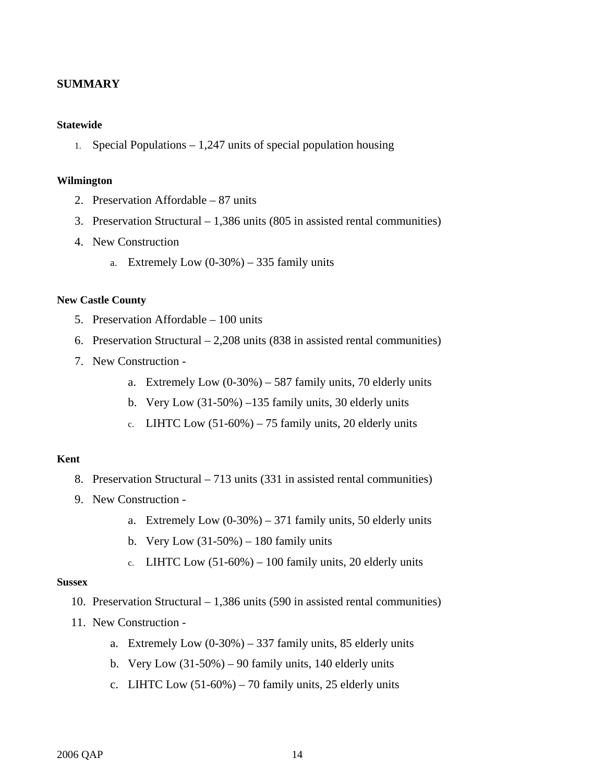## **SUMMARY**

### **Statewide**

1. Special Populations – 1,247 units of special population housing

### **Wilmington**

- 2. Preservation Affordable 87 units
- 3. Preservation Structural 1,386 units (805 in assisted rental communities)
- 4. New Construction
	- a. Extremely Low  $(0-30\%) 335$  family units

## **New Castle County**

- 5. Preservation Affordable 100 units
- 6. Preservation Structural 2,208 units (838 in assisted rental communities)
- 7. New Construction
	- a. Extremely Low  $(0-30\%) 587$  family units, 70 elderly units
	- b. Very Low (31-50%) –135 family units, 30 elderly units
	- c. LIHTC Low  $(51-60\%) 75$  family units, 20 elderly units

## **Kent**

- 8. Preservation Structural 713 units (331 in assisted rental communities)
- 9. New Construction
	- a. Extremely Low  $(0-30\%) 371$  family units, 50 elderly units
	- b. Very Low  $(31-50\%) 180$  family units
	- c. LIHTC Low  $(51-60\%) 100$  family units, 20 elderly units

#### **Sussex**

- 10. Preservation Structural 1,386 units (590 in assisted rental communities)
- 11. New Construction
	- a. Extremely Low  $(0-30\%) 337$  family units, 85 elderly units
	- b. Very Low  $(31-50\%) 90$  family units, 140 elderly units
	- c. LIHTC Low  $(51-60\%)$  70 family units, 25 elderly units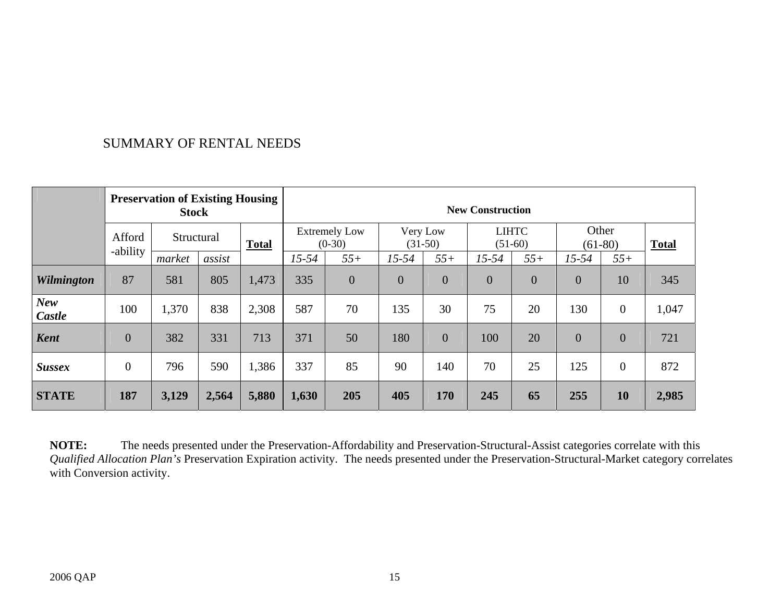## SUMMARY OF RENTAL NEEDS

| <b>Preservation of Existing Housing</b><br><b>Stock</b> |                |        |            |       | <b>New Construction</b>          |                |                       |                |                           |                |                    |                  |              |
|---------------------------------------------------------|----------------|--------|------------|-------|----------------------------------|----------------|-----------------------|----------------|---------------------------|----------------|--------------------|------------------|--------------|
|                                                         | Afford         |        | Structural |       | <b>Extremely Low</b><br>$(0-30)$ |                | Very Low<br>$(31-50)$ |                | <b>LIHTC</b><br>$(51-60)$ |                | Other<br>$(61-80)$ |                  | <b>Total</b> |
|                                                         | -ability       | market | assist     |       | $15 - 54$                        | $55+$          | $15 - 54$             | $55+$          | $15 - 54$                 | $55+$          | $15 - 54$          | $55+$            |              |
| <b>Wilmington</b>                                       | 87             | 581    | 805        | 1,473 | 335                              | $\overline{0}$ | $\overline{0}$        | $\overline{0}$ | $\overline{0}$            | $\overline{0}$ | $\overline{0}$     | 10               | 345          |
| <b>New</b><br>Castle                                    | 100            | 1,370  | 838        | 2,308 | 587                              | 70             | 135                   | 30             | 75                        | 20             | 130                | $\boldsymbol{0}$ | 1,047        |
| <b>Kent</b>                                             | $\overline{0}$ | 382    | 331        | 713   | 371                              | 50             | 180                   | $\overline{0}$ | 100                       | 20             | $\overline{0}$     | $\theta$         | 721          |
| <b>Sussex</b>                                           | $\overline{0}$ | 796    | 590        | 1,386 | 337                              | 85             | 90                    | 140            | 70                        | 25             | 125                | $\overline{0}$   | 872          |
| <b>STATE</b>                                            | 187            | 3,129  | 2,564      | 5,880 | 1,630                            | 205            | 405                   | 170            | 245                       | 65             | 255                | 10               | 2,985        |

**NOTE:** The needs presented under the Preservation-Affordability and Preservation-Structural-Assist categories correlate with this *Qualified Allocation Plan's* Preservation Expiration activity. The needs presented under the Preservation-Structural-Market category correlates with Conversion activity.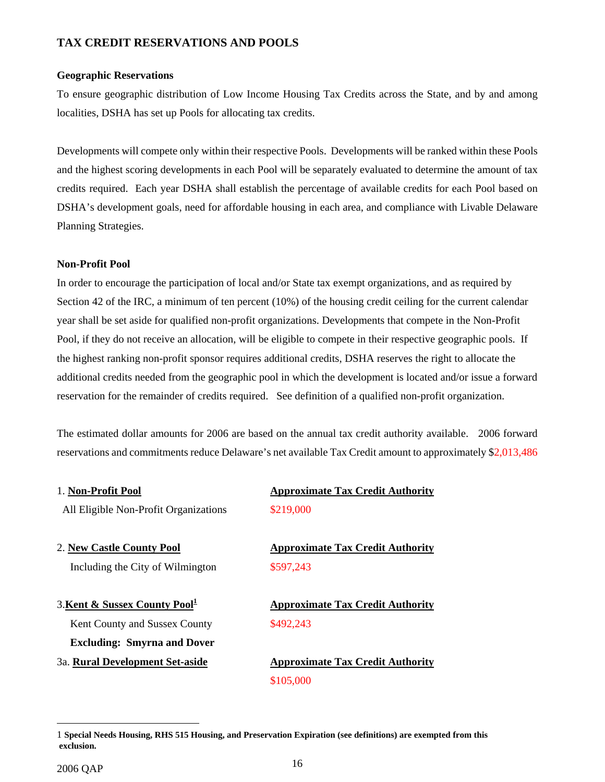## **TAX CREDIT RESERVATIONS AND POOLS**

#### **Geographic Reservations**

To ensure geographic distribution of Low Income Housing Tax Credits across the State, and by and among localities, DSHA has set up Pools for allocating tax credits.

Developments will compete only within their respective Pools. Developments will be ranked within these Pools and the highest scoring developments in each Pool will be separately evaluated to determine the amount of tax credits required. Each year DSHA shall establish the percentage of available credits for each Pool based on DSHA's development goals, need for affordable housing in each area, and compliance with Livable Delaware Planning Strategies.

## **Non-Profit Pool**

In order to encourage the participation of local and/or State tax exempt organizations, and as required by Section 42 of the IRC, a minimum of ten percent (10%) of the housing credit ceiling for the current calendar year shall be set aside for qualified non-profit organizations. Developments that compete in the Non-Profit Pool, if they do not receive an allocation, will be eligible to compete in their respective geographic pools. If the highest ranking non-profit sponsor requires additional credits, DSHA reserves the right to allocate the additional credits needed from the geographic pool in which the development is located and/or issue a forward reservation for the remainder of credits required. See definition of a qualified non-profit organization.

The estimated dollar amounts for 2006 are based on the annual tax credit authority available. 2006 forward reservations and commitments reduce Delaware's net available Tax Credit amount to approximately \$2,013,486

| 1. Non-Profit Pool                        | <b>Approximate Tax Credit Authority</b> |  |  |  |  |
|-------------------------------------------|-----------------------------------------|--|--|--|--|
| All Eligible Non-Profit Organizations     | \$219,000                               |  |  |  |  |
| 2. New Castle County Pool                 | <b>Approximate Tax Credit Authority</b> |  |  |  |  |
| Including the City of Wilmington          | \$597,243                               |  |  |  |  |
| 3. Kent & Sussex County Pool <sup>1</sup> | <b>Approximate Tax Credit Authority</b> |  |  |  |  |
| Kent County and Sussex County             | \$492,243                               |  |  |  |  |
| <b>Excluding: Smyrna and Dover</b>        |                                         |  |  |  |  |
| 3a. Rural Development Set-aside           | <b>Approximate Tax Credit Authority</b> |  |  |  |  |
|                                           | \$105,000                               |  |  |  |  |

1

<span id="page-15-0"></span><sup>1</sup> **Special Needs Housing, RHS 515 Housing, and Preservation Expiration (see definitions) are exempted from this exclusion.**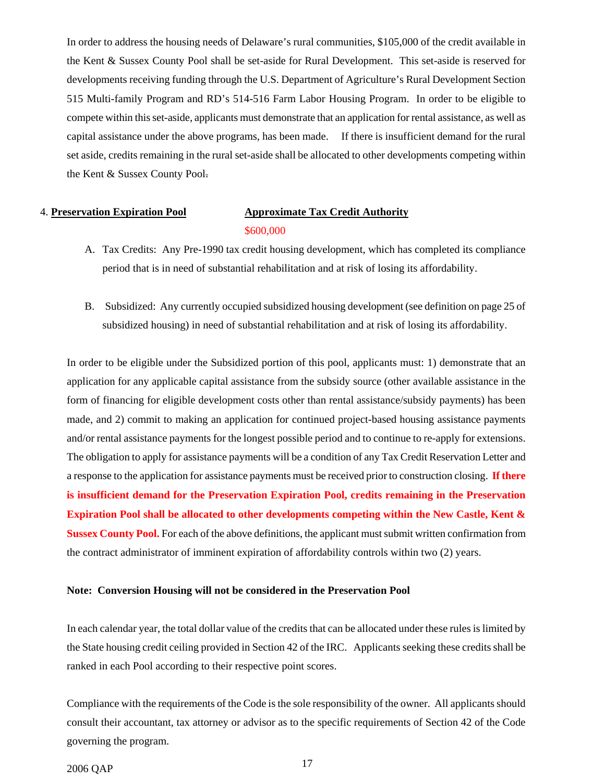In order to address the housing needs of Delaware's rural communities, \$105,000 of the credit available in the Kent & Sussex County Pool shall be set-aside for Rural Development. This set-aside is reserved for developments receiving funding through the U.S. Department of Agriculture's Rural Development Section 515 Multi-family Program and RD's 514-516 Farm Labor Housing Program. In order to be eligible to compete within this set-aside, applicants must demonstrate that an application for rental assistance, as well as capital assistance under the above programs, has been made. If there is insufficient demand for the rural set aside, credits remaining in the rural set-aside shall be allocated to other developments competing within the Kent & Sussex County Pool.

## 4. **Preservation Expiration Pool Approximate Tax Credit Authority** \$600,000

- A. Tax Credits: Any Pre-1990 tax credit housing development, which has completed its compliance period that is in need of substantial rehabilitation and at risk of losing its affordability.
- B. Subsidized: Any currently occupied subsidized housing development (see definition on page 25 of subsidized housing) in need of substantial rehabilitation and at risk of losing its affordability.

In order to be eligible under the Subsidized portion of this pool, applicants must: 1) demonstrate that an application for any applicable capital assistance from the subsidy source (other available assistance in the form of financing for eligible development costs other than rental assistance/subsidy payments) has been made, and 2) commit to making an application for continued project-based housing assistance payments and/or rental assistance payments for the longest possible period and to continue to re-apply for extensions. The obligation to apply for assistance payments will be a condition of any Tax Credit Reservation Letter and a response to the application for assistance payments must be received prior to construction closing. **If there is insufficient demand for the Preservation Expiration Pool, credits remaining in the Preservation Expiration Pool shall be allocated to other developments competing within the New Castle, Kent & Sussex County Pool.** For each of the above definitions, the applicant must submit written confirmation from the contract administrator of imminent expiration of affordability controls within two (2) years.

#### **Note: Conversion Housing will not be considered in the Preservation Pool**

In each calendar year, the total dollar value of the credits that can be allocated under these rules is limited by the State housing credit ceiling provided in Section 42 of the IRC. Applicants seeking these credits shall be ranked in each Pool according to their respective point scores.

Compliance with the requirements of the Code is the sole responsibility of the owner. All applicants should consult their accountant, tax attorney or advisor as to the specific requirements of Section 42 of the Code governing the program.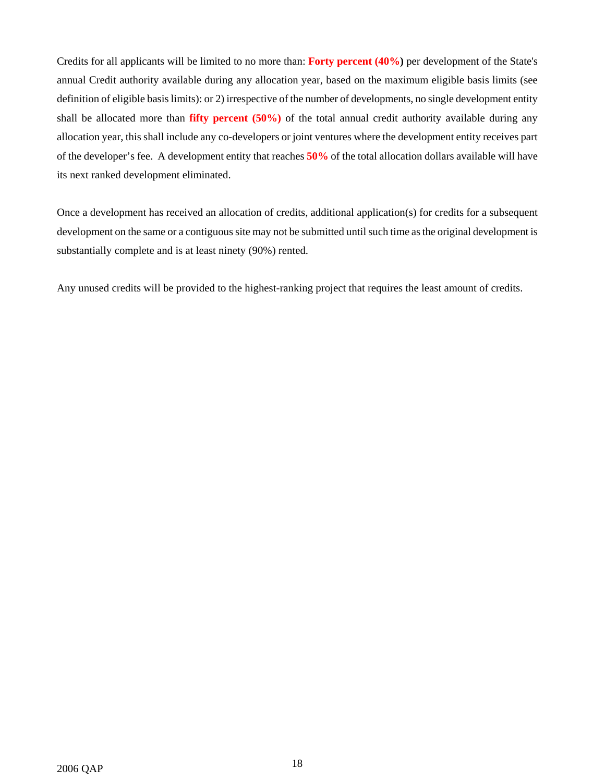Credits for all applicants will be limited to no more than: **Forty percent (40%)** per development of the State's annual Credit authority available during any allocation year, based on the maximum eligible basis limits (see definition of eligible basis limits): or 2) irrespective of the number of developments, no single development entity shall be allocated more than **fifty percent (50%)** of the total annual credit authority available during any allocation year, this shall include any co-developers or joint ventures where the development entity receives part of the developer's fee. A development entity that reaches **50%** of the total allocation dollars available will have its next ranked development eliminated.

Once a development has received an allocation of credits, additional application(s) for credits for a subsequent development on the same or a contiguous site may not be submitted until such time asthe original development is substantially complete and is at least ninety (90%) rented.

Any unused credits will be provided to the highest-ranking project that requires the least amount of credits.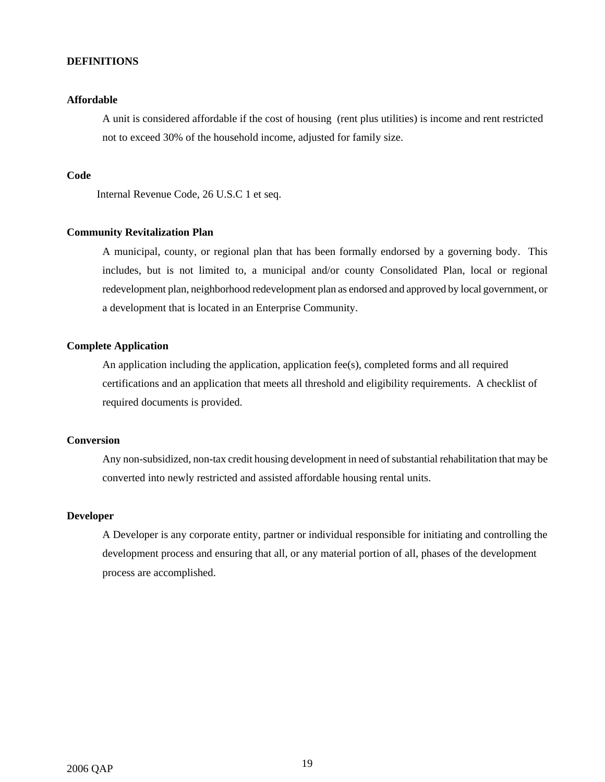### **DEFINITIONS**

#### **Affordable**

A unit is considered affordable if the cost of housing (rent plus utilities) is income and rent restricted not to exceed 30% of the household income, adjusted for family size.

#### **Code**

Internal Revenue Code, 26 U.S.C 1 et seq.

#### **Community Revitalization Plan**

A municipal, county, or regional plan that has been formally endorsed by a governing body. This includes, but is not limited to, a municipal and/or county Consolidated Plan, local or regional redevelopment plan, neighborhood redevelopment plan as endorsed and approved by local government, or a development that is located in an Enterprise Community.

## **Complete Application**

An application including the application, application fee(s), completed forms and all required certifications and an application that meets all threshold and eligibility requirements. A checklist of required documents is provided.

## **Conversion**

Any non-subsidized, non-tax credit housing development in need of substantial rehabilitation that may be converted into newly restricted and assisted affordable housing rental units.

## **Developer**

A Developer is any corporate entity, partner or individual responsible for initiating and controlling the development process and ensuring that all, or any material portion of all, phases of the development process are accomplished.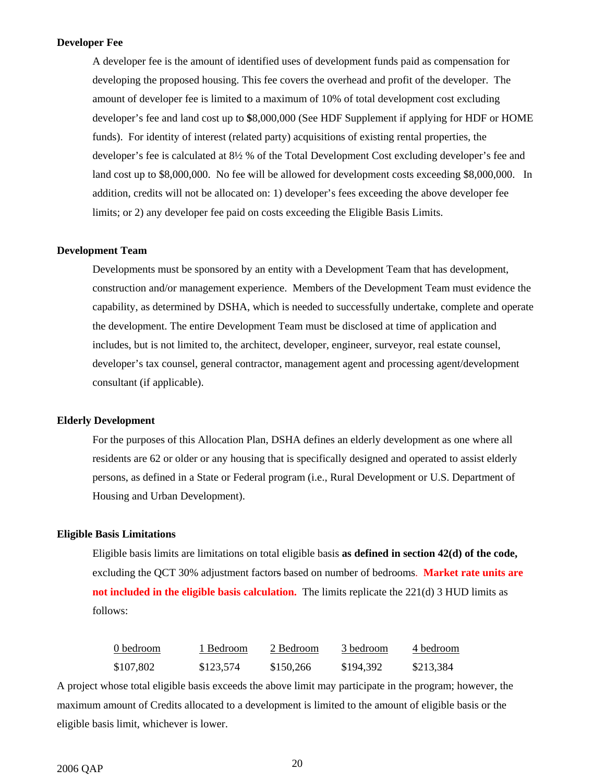#### **Developer Fee**

A developer fee is the amount of identified uses of development funds paid as compensation for developing the proposed housing. This fee covers the overhead and profit of the developer. The amount of developer fee is limited to a maximum of 10% of total development cost excluding developer's fee and land cost up to **\$**8,000,000 (See HDF Supplement if applying for HDF or HOME funds). For identity of interest (related party) acquisitions of existing rental properties, the developer's fee is calculated at 8½ % of the Total Development Cost excluding developer's fee and land cost up to \$8,000,000. No fee will be allowed for development costs exceeding \$8,000,000. In addition, credits will not be allocated on: 1) developer's fees exceeding the above developer fee limits; or 2) any developer fee paid on costs exceeding the Eligible Basis Limits.

#### **Development Team**

Developments must be sponsored by an entity with a Development Team that has development, construction and/or management experience. Members of the Development Team must evidence the capability, as determined by DSHA, which is needed to successfully undertake, complete and operate the development. The entire Development Team must be disclosed at time of application and includes, but is not limited to, the architect, developer, engineer, surveyor, real estate counsel, developer's tax counsel, general contractor, management agent and processing agent/development consultant (if applicable).

#### **Elderly Development**

For the purposes of this Allocation Plan, DSHA defines an elderly development as one where all residents are 62 or older or any housing that is specifically designed and operated to assist elderly persons, as defined in a State or Federal program (i.e., Rural Development or U.S. Department of Housing and Urban Development).

#### **Eligible Basis Limitations**

Eligible basis limits are limitations on total eligible basis **as defined in section 42(d) of the code,** excluding the QCT 30% adjustment factors based on number of bedrooms. **Market rate units are not included in the eligible basis calculation.** The limits replicate the 221(d) 3 HUD limits as follows:

| 0 bedroom | 1 Bedroom | 2 Bedroom | 3 bedroom | 4 bedroom |
|-----------|-----------|-----------|-----------|-----------|
| \$107.802 | \$123,574 | \$150,266 | \$194.392 | \$213,384 |

A project whose total eligible basis exceeds the above limit may participate in the program; however, the maximum amount of Credits allocated to a development is limited to the amount of eligible basis or the eligible basis limit, whichever is lower.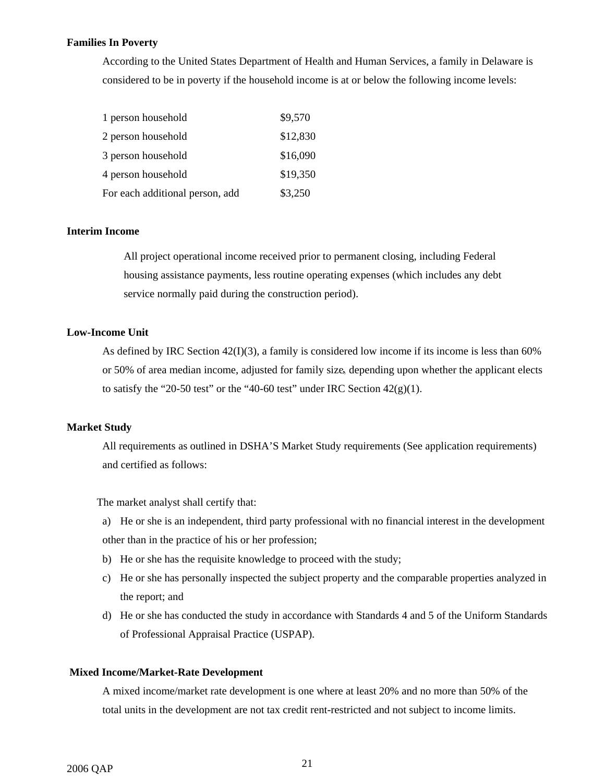#### **Families In Poverty**

According to the United States Department of Health and Human Services, a family in Delaware is considered to be in poverty if the household income is at or below the following income levels:

| 1 person household              | \$9,570  |
|---------------------------------|----------|
| 2 person household              | \$12,830 |
| 3 person household              | \$16,090 |
| 4 person household              | \$19,350 |
| For each additional person, add | \$3,250  |

## **Interim Income**

All project operational income received prior to permanent closing, including Federal housing assistance payments, less routine operating expenses (which includes any debt service normally paid during the construction period).

### **Low-Income Unit**

As defined by IRC Section 42(I)(3), a family is considered low income if its income is less than 60% or 50% of area median income, adjusted for family size, depending upon whether the applicant elects to satisfy the "20-50 test" or the "40-60 test" under IRC Section  $42(g)(1)$ .

#### **Market Study**

All requirements as outlined in DSHA'S Market Study requirements (See application requirements) and certified as follows:

The market analyst shall certify that:

a) He or she is an independent, third party professional with no financial interest in the development other than in the practice of his or her profession;

- b) He or she has the requisite knowledge to proceed with the study;
- c) He or she has personally inspected the subject property and the comparable properties analyzed in the report; and
- d) He or she has conducted the study in accordance with Standards 4 and 5 of the Uniform Standards of Professional Appraisal Practice (USPAP).

#### **Mixed Income/Market-Rate Development**

A mixed income/market rate development is one where at least 20% and no more than 50% of the total units in the development are not tax credit rent-restricted and not subject to income limits.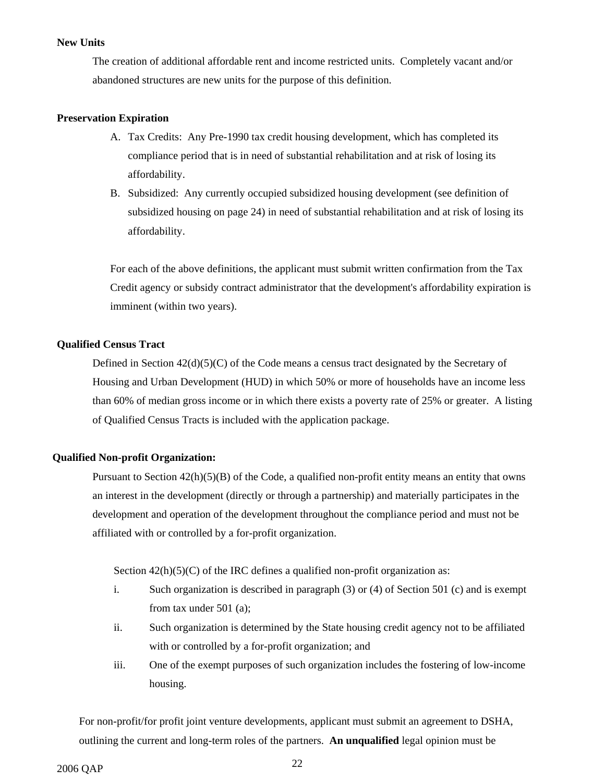#### **New Units**

The creation of additional affordable rent and income restricted units. Completely vacant and/or abandoned structures are new units for the purpose of this definition.

#### **Preservation Expiration**

- A. Tax Credits: Any Pre-1990 tax credit housing development, which has completed its compliance period that is in need of substantial rehabilitation and at risk of losing its affordability.
- B. Subsidized: Any currently occupied subsidized housing development (see definition of subsidized housing on page 24) in need of substantial rehabilitation and at risk of losing its affordability.

For each of the above definitions, the applicant must submit written confirmation from the Tax Credit agency or subsidy contract administrator that the development's affordability expiration is imminent (within two years).

#### **Qualified Census Tract**

Defined in Section  $42(d)(5)(C)$  of the Code means a census tract designated by the Secretary of Housing and Urban Development (HUD) in which 50% or more of households have an income less than 60% of median gross income or in which there exists a poverty rate of 25% or greater. A listing of Qualified Census Tracts is included with the application package.

#### **Qualified Non-profit Organization:**

Pursuant to Section  $42(h)(5)(B)$  of the Code, a qualified non-profit entity means an entity that owns an interest in the development (directly or through a partnership) and materially participates in the development and operation of the development throughout the compliance period and must not be affiliated with or controlled by a for-profit organization.

Section  $42(h)(5)(C)$  of the IRC defines a qualified non-profit organization as:

- i. Such organization is described in paragraph (3) or (4) of Section 501 (c) and is exempt from tax under 501 (a);
- ii. Such organization is determined by the State housing credit agency not to be affiliated with or controlled by a for-profit organization; and
- iii. One of the exempt purposes of such organization includes the fostering of low-income housing.

For non-profit/for profit joint venture developments, applicant must submit an agreement to DSHA, outlining the current and long-term roles of the partners. **An unqualified** legal opinion must be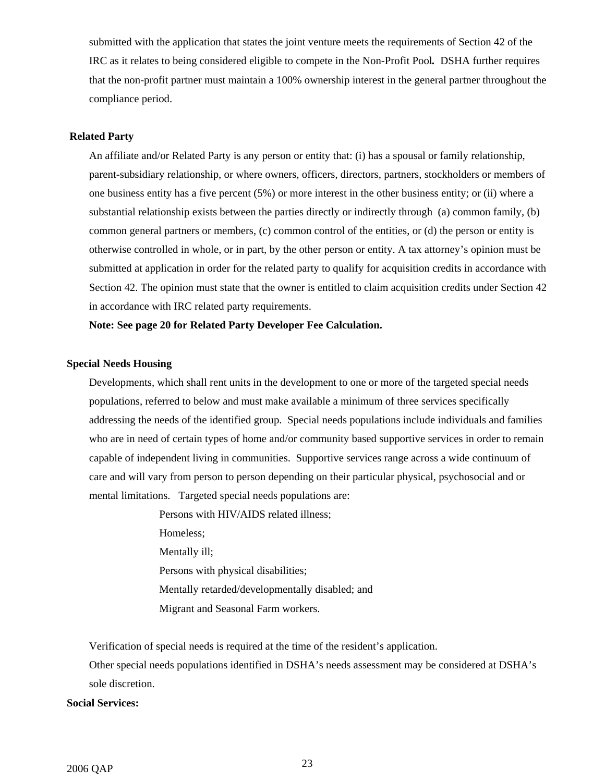submitted with the application that states the joint venture meets the requirements of Section 42 of the IRC as it relates to being considered eligible to compete in the Non-Profit Pool*.* DSHA further requires that the non-profit partner must maintain a 100% ownership interest in the general partner throughout the compliance period.

## **Related Party**

An affiliate and/or Related Party is any person or entity that: (i) has a spousal or family relationship, parent-subsidiary relationship, or where owners, officers, directors, partners, stockholders or members of one business entity has a five percent (5%) or more interest in the other business entity; or (ii) where a substantial relationship exists between the parties directly or indirectly through (a) common family, (b) common general partners or members, (c) common control of the entities, or (d) the person or entity is otherwise controlled in whole, or in part, by the other person or entity. A tax attorney's opinion must be submitted at application in order for the related party to qualify for acquisition credits in accordance with Section 42. The opinion must state that the owner is entitled to claim acquisition credits under Section 42 in accordance with IRC related party requirements.

**Note: See page 20 for Related Party Developer Fee Calculation.** 

## **Special Needs Housing**

Developments, which shall rent units in the development to one or more of the targeted special needs populations, referred to below and must make available a minimum of three services specifically addressing the needs of the identified group. Special needs populations include individuals and families who are in need of certain types of home and/or community based supportive services in order to remain capable of independent living in communities. Supportive services range across a wide continuum of care and will vary from person to person depending on their particular physical, psychosocial and or mental limitations. Targeted special needs populations are:

> Persons with HIV/AIDS related illness; Homeless; Mentally ill; Persons with physical disabilities; Mentally retarded/developmentally disabled; and Migrant and Seasonal Farm workers.

Verification of special needs is required at the time of the resident's application.

Other special needs populations identified in DSHA's needs assessment may be considered at DSHA's sole discretion.

#### **Social Services:**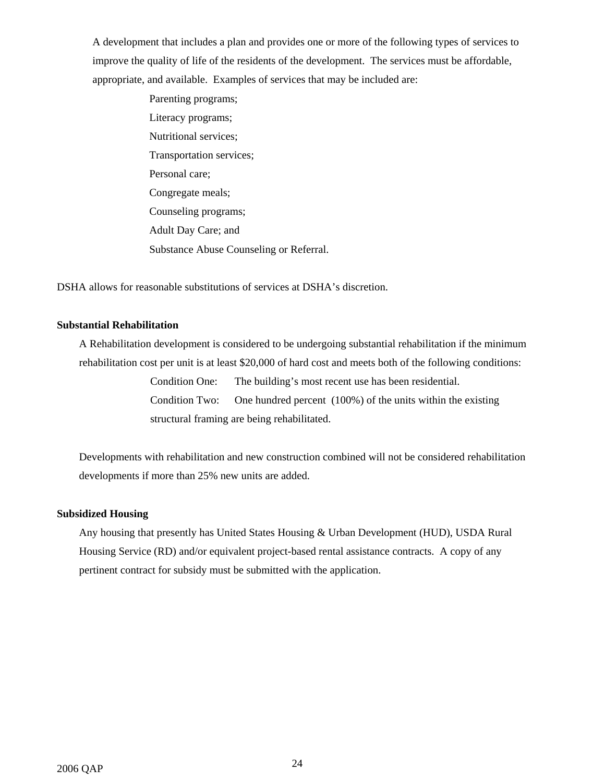A development that includes a plan and provides one or more of the following types of services to improve the quality of life of the residents of the development. The services must be affordable, appropriate, and available. Examples of services that may be included are:

> Parenting programs; Literacy programs; Nutritional services; Transportation services; Personal care; Congregate meals; Counseling programs; Adult Day Care; and Substance Abuse Counseling or Referral.

DSHA allows for reasonable substitutions of services at DSHA's discretion.

## **Substantial Rehabilitation**

A Rehabilitation development is considered to be undergoing substantial rehabilitation if the minimum rehabilitation cost per unit is at least \$20,000 of hard cost and meets both of the following conditions:

> Condition One: The building's most recent use has been residential. Condition Two: One hundred percent (100%) of the units within the existing structural framing are being rehabilitated.

Developments with rehabilitation and new construction combined will not be considered rehabilitation developments if more than 25% new units are added.

#### **Subsidized Housing**

Any housing that presently has United States Housing & Urban Development (HUD), USDA Rural Housing Service (RD) and/or equivalent project-based rental assistance contracts. A copy of any pertinent contract for subsidy must be submitted with the application.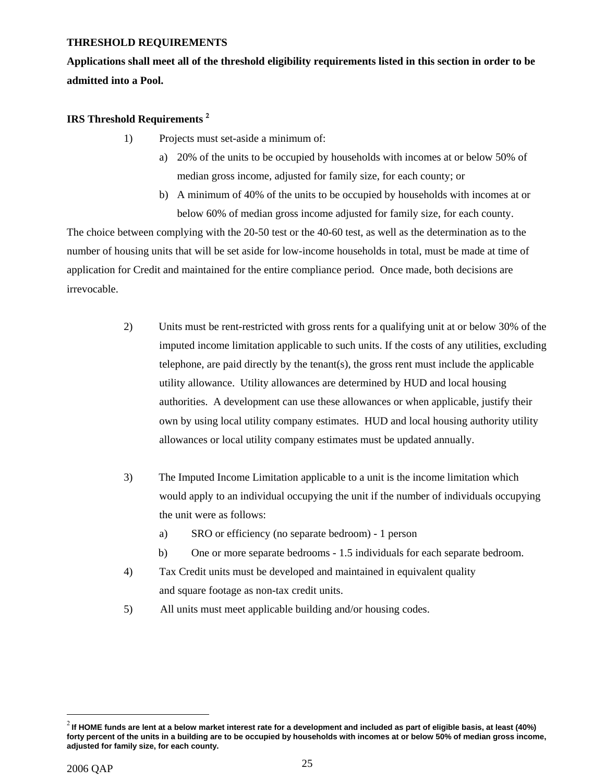### **THRESHOLD REQUIREMENTS**

**Applications shall meet all of the threshold eligibility requirements listed in this section in order to be admitted into a Pool.** 

## **IRS Threshold Requirements** [2](#page-24-0)

- 1) Projects must set-aside a minimum of:
	- a) 20% of the units to be occupied by households with incomes at or below 50% of median gross income, adjusted for family size, for each county; or
	- b) A minimum of 40% of the units to be occupied by households with incomes at or below 60% of median gross income adjusted for family size, for each county.

The choice between complying with the 20-50 test or the 40-60 test, as well as the determination as to the number of housing units that will be set aside for low-income households in total, must be made at time of application for Credit and maintained for the entire compliance period. Once made, both decisions are irrevocable.

- 2) Units must be rent-restricted with gross rents for a qualifying unit at or below 30% of the imputed income limitation applicable to such units. If the costs of any utilities, excluding telephone, are paid directly by the tenant(s), the gross rent must include the applicable utility allowance. Utility allowances are determined by HUD and local housing authorities. A development can use these allowances or when applicable, justify their own by using local utility company estimates. HUD and local housing authority utility allowances or local utility company estimates must be updated annually.
- 3) The Imputed Income Limitation applicable to a unit is the income limitation which would apply to an individual occupying the unit if the number of individuals occupying the unit were as follows:
	- a) SRO or efficiency (no separate bedroom) 1 person
	- b) One or more separate bedrooms 1.5 individuals for each separate bedroom.
- 4) Tax Credit units must be developed and maintained in equivalent quality and square footage as non-tax credit units.
- 5) All units must meet applicable building and/or housing codes.

 $\overline{a}$ 

<span id="page-24-0"></span><sup>2</sup> **If HOME funds are lent at a below market interest rate for a development and included as part of eligible basis, at least (40%) forty percent of the units in a building are to be occupied by households with incomes at or below 50% of median gross income, adjusted for family size, for each county.**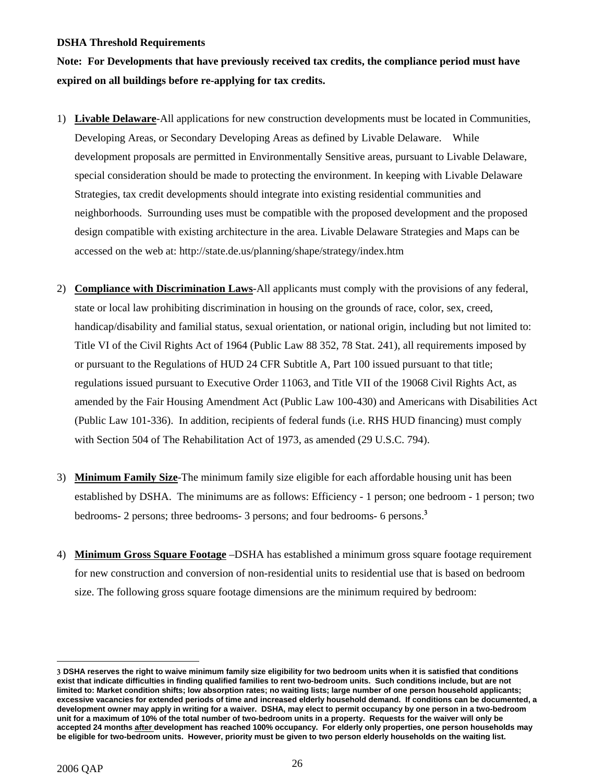#### **DSHA Threshold Requirements**

**Note: For Developments that have previously received tax credits, the compliance period must have expired on all buildings before re-applying for tax credits.** 

- 1) **Livable Delaware**-All applications for new construction developments must be located in Communities, Developing Areas, or Secondary Developing Areas as defined by Livable Delaware. While development proposals are permitted in Environmentally Sensitive areas, pursuant to Livable Delaware, special consideration should be made to protecting the environment. In keeping with Livable Delaware Strategies, tax credit developments should integrate into existing residential communities and neighborhoods. Surrounding uses must be compatible with the proposed development and the proposed design compatible with existing architecture in the area. Livable Delaware Strategies and Maps can be accessed on the web at: http://state.de.us/planning/shape/strategy/index.htm
- 2) **Compliance with Discrimination Laws**-All applicants must comply with the provisions of any federal, state or local law prohibiting discrimination in housing on the grounds of race, color, sex, creed, handicap/disability and familial status, sexual orientation, or national origin, including but not limited to: Title VI of the Civil Rights Act of 1964 (Public Law 88 352, 78 Stat. 241), all requirements imposed by or pursuant to the Regulations of HUD 24 CFR Subtitle A, Part 100 issued pursuant to that title; regulations issued pursuant to Executive Order 11063, and Title VII of the 19068 Civil Rights Act, as amended by the Fair Housing Amendment Act (Public Law 100-430) and Americans with Disabilities Act (Public Law 101-336). In addition, recipients of federal funds (i.e. RHS HUD financing) must comply with Section 504 of The Rehabilitation Act of 1973, as amended (29 U.S.C. 794).
- 3) **Minimum Family Size**-The minimum family size eligible for each affordable housing unit has been established by DSHA. The minimums are as follows: Efficiency - 1 person; one bedroom - 1 person; two bedrooms- 2 persons; three bedrooms- 3 persons; and four bedrooms- 6 persons.[3](#page-25-0)
- 4) **Minimum Gross Square Footage** –DSHA has established a minimum gross square footage requirement for new construction and conversion of non-residential units to residential use that is based on bedroom size. The following gross square footage dimensions are the minimum required by bedroom:

1

<span id="page-25-0"></span><sup>3</sup> **DSHA reserves the right to waive minimum family size eligibility for two bedroom units when it is satisfied that conditions exist that indicate difficulties in finding qualified families to rent two-bedroom units. Such conditions include, but are not limited to: Market condition shifts; low absorption rates; no waiting lists; large number of one person household applicants; excessive vacancies for extended periods of time and increased elderly household demand. If conditions can be documented, a development owner may apply in writing for a waiver. DSHA, may elect to permit occupancy by one person in a two-bedroom unit for a maximum of 10% of the total number of two-bedroom units in a property. Requests for the waiver will only be accepted 24 months after development has reached 100% occupancy. For elderly only properties, one person households may be eligible for two-bedroom units. However, priority must be given to two person elderly households on the waiting list.**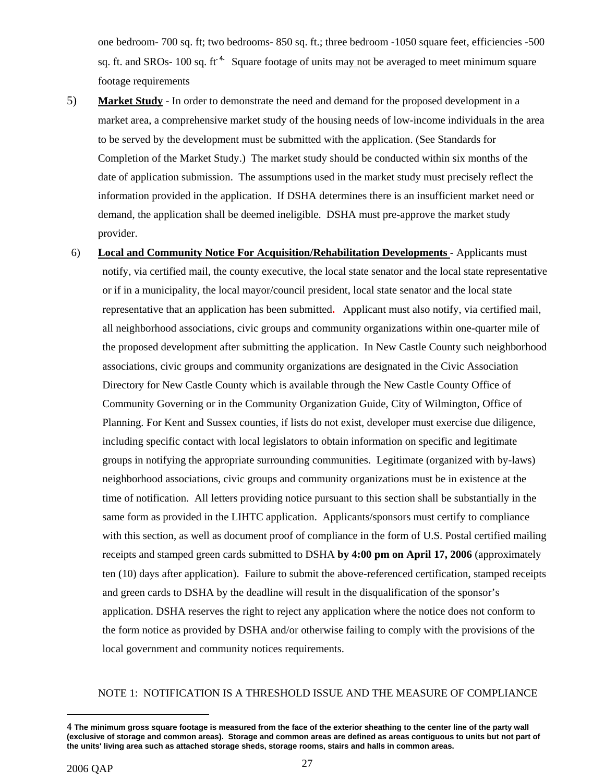one bedroom- 700 sq. ft; two bedrooms- 850 sq. ft.; three bedroom -1050 square feet, efficiencies -500 sq[.](#page-26-0) ft. and SROs- 100 sq. ft<sup>.4</sup>. Square footage of units may not be averaged to meet minimum square footage requirements

- 5) **Market Study** In order to demonstrate the need and demand for the proposed development in a market area, a comprehensive market study of the housing needs of low-income individuals in the area to be served by the development must be submitted with the application. (See Standards for Completion of the Market Study.) The market study should be conducted within six months of the date of application submission. The assumptions used in the market study must precisely reflect the information provided in the application. If DSHA determines there is an insufficient market need or demand, the application shall be deemed ineligible. DSHA must pre-approve the market study provider.
- 6) **Local and Community Notice For Acquisition/Rehabilitation Developments** Applicants must notify, via certified mail, the county executive, the local state senator and the local state representative or if in a municipality, the local mayor/council president, local state senator and the local state representative that an application has been submitted**.** Applicant must also notify, via certified mail, all neighborhood associations, civic groups and community organizations within one-quarter mile of the proposed development after submitting the application. In New Castle County such neighborhood associations, civic groups and community organizations are designated in the Civic Association Directory for New Castle County which is available through the New Castle County Office of Community Governing or in the Community Organization Guide, City of Wilmington, Office of Planning. For Kent and Sussex counties, if lists do not exist, developer must exercise due diligence, including specific contact with local legislators to obtain information on specific and legitimate groups in notifying the appropriate surrounding communities. Legitimate (organized with by-laws) neighborhood associations, civic groups and community organizations must be in existence at the time of notification. All letters providing notice pursuant to this section shall be substantially in the same form as provided in the LIHTC application. Applicants/sponsors must certify to compliance with this section, as well as document proof of compliance in the form of U.S. Postal certified mailing receipts and stamped green cards submitted to DSHA **by 4:00 pm on April 17, 2006** (approximately ten (10) days after application). Failure to submit the above-referenced certification, stamped receipts and green cards to DSHA by the deadline will result in the disqualification of the sponsor's application. DSHA reserves the right to reject any application where the notice does not conform to the form notice as provided by DSHA and/or otherwise failing to comply with the provisions of the local government and community notices requirements.

#### NOTE 1: NOTIFICATION IS A THRESHOLD ISSUE AND THE MEASURE OF COMPLIANCE

 $\overline{a}$ 

<span id="page-26-0"></span><sup>4</sup> **The minimum gross square footage is measured from the face of the exterior sheathing to the center line of the party wall (exclusive of storage and common areas). Storage and common areas are defined as areas contiguous to units but not part of the units' living area such as attached storage sheds, storage rooms, stairs and halls in common areas.**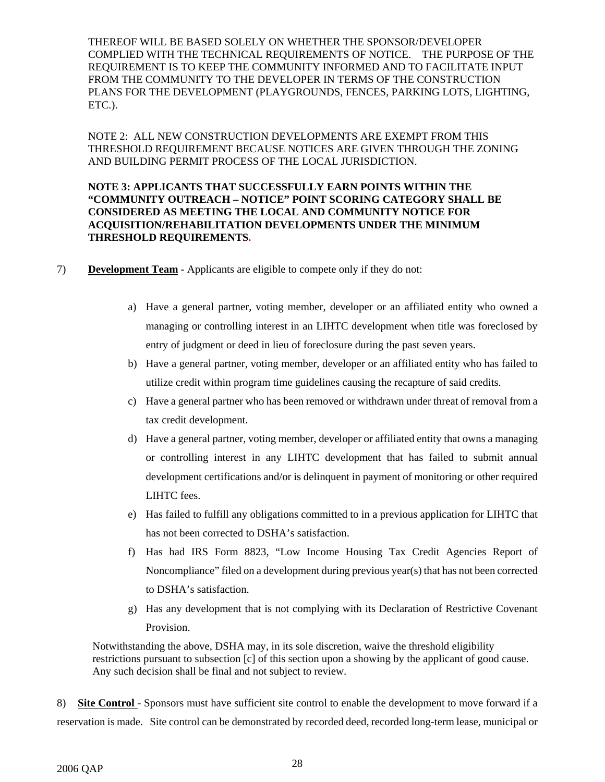THEREOF WILL BE BASED SOLELY ON WHETHER THE SPONSOR/DEVELOPER COMPLIED WITH THE TECHNICAL REQUIREMENTS OF NOTICE. THE PURPOSE OF THE REQUIREMENT IS TO KEEP THE COMMUNITY INFORMED AND TO FACILITATE INPUT FROM THE COMMUNITY TO THE DEVELOPER IN TERMS OF THE CONSTRUCTION PLANS FOR THE DEVELOPMENT (PLAYGROUNDS, FENCES, PARKING LOTS, LIGHTING, ETC.).

NOTE 2: ALL NEW CONSTRUCTION DEVELOPMENTS ARE EXEMPT FROM THIS THRESHOLD REQUIREMENT BECAUSE NOTICES ARE GIVEN THROUGH THE ZONING AND BUILDING PERMIT PROCESS OF THE LOCAL JURISDICTION.

## **NOTE 3: APPLICANTS THAT SUCCESSFULLY EARN POINTS WITHIN THE "COMMUNITY OUTREACH – NOTICE" POINT SCORING CATEGORY SHALL BE CONSIDERED AS MEETING THE LOCAL AND COMMUNITY NOTICE FOR ACQUISITION/REHABILITATION DEVELOPMENTS UNDER THE MINIMUM THRESHOLD REQUIREMENTS.**

- 7) **Development Team** Applicants are eligible to compete only if they do not:
	- a) Have a general partner, voting member, developer or an affiliated entity who owned a managing or controlling interest in an LIHTC development when title was foreclosed by entry of judgment or deed in lieu of foreclosure during the past seven years.
	- b) Have a general partner, voting member, developer or an affiliated entity who has failed to utilize credit within program time guidelines causing the recapture of said credits.
	- c) Have a general partner who has been removed or withdrawn under threat of removal from a tax credit development.
	- d) Have a general partner, voting member, developer or affiliated entity that owns a managing or controlling interest in any LIHTC development that has failed to submit annual development certifications and/or is delinquent in payment of monitoring or other required LIHTC fees.
	- e) Has failed to fulfill any obligations committed to in a previous application for LIHTC that has not been corrected to DSHA's satisfaction.
	- f) Has had IRS Form 8823, "Low Income Housing Tax Credit Agencies Report of Noncompliance" filed on a development during previous year(s) that has not been corrected to DSHA's satisfaction.
	- g) Has any development that is not complying with its Declaration of Restrictive Covenant Provision.

Notwithstanding the above, DSHA may, in its sole discretion, waive the threshold eligibility restrictions pursuant to subsection [c] of this section upon a showing by the applicant of good cause. Any such decision shall be final and not subject to review.

8) **Site Control** - Sponsors must have sufficient site control to enable the development to move forward if a reservation is made. Site control can be demonstrated by recorded deed, recorded long-term lease, municipal or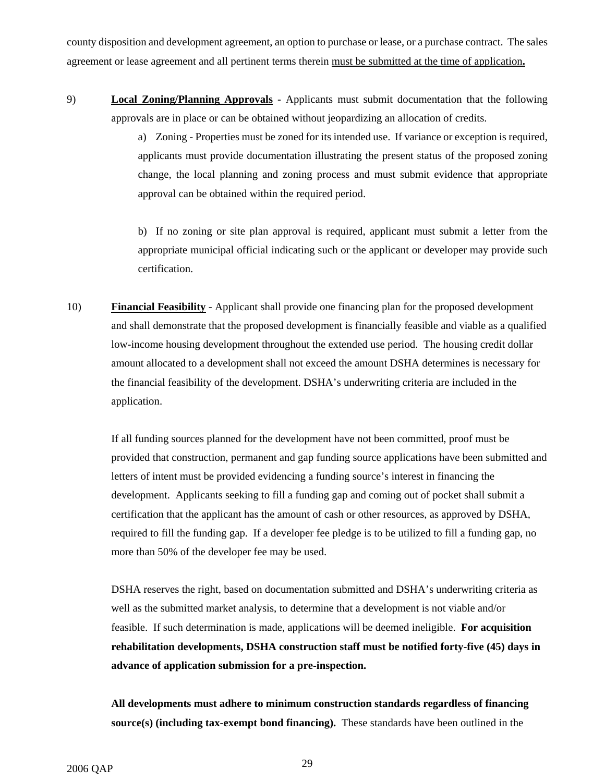county disposition and development agreement, an option to purchase or lease, or a purchase contract. The sales agreement or lease agreement and all pertinent terms therein must be submitted at the time of application**.** 

9) **Local Zoning/Planning Approvals** - Applicants must submit documentation that the following approvals are in place or can be obtained without jeopardizing an allocation of credits.

> a) Zoning - Properties must be zoned for its intended use. If variance or exception is required, applicants must provide documentation illustrating the present status of the proposed zoning change, the local planning and zoning process and must submit evidence that appropriate approval can be obtained within the required period.

> b) If no zoning or site plan approval is required, applicant must submit a letter from the appropriate municipal official indicating such or the applicant or developer may provide such certification.

10) **Financial Feasibility** - Applicant shall provide one financing plan for the proposed development and shall demonstrate that the proposed development is financially feasible and viable as a qualified low-income housing development throughout the extended use period. The housing credit dollar amount allocated to a development shall not exceed the amount DSHA determines is necessary for the financial feasibility of the development. DSHA's underwriting criteria are included in the application.

If all funding sources planned for the development have not been committed, proof must be provided that construction, permanent and gap funding source applications have been submitted and letters of intent must be provided evidencing a funding source's interest in financing the development. Applicants seeking to fill a funding gap and coming out of pocket shall submit a certification that the applicant has the amount of cash or other resources, as approved by DSHA, required to fill the funding gap. If a developer fee pledge is to be utilized to fill a funding gap, no more than 50% of the developer fee may be used.

DSHA reserves the right, based on documentation submitted and DSHA's underwriting criteria as well as the submitted market analysis, to determine that a development is not viable and/or feasible. If such determination is made, applications will be deemed ineligible. **For acquisition rehabilitation developments, DSHA construction staff must be notified forty-five (45) days in advance of application submission for a pre-inspection.** 

**All developments must adhere to minimum construction standards regardless of financing source(s) (including tax-exempt bond financing).** These standards have been outlined in the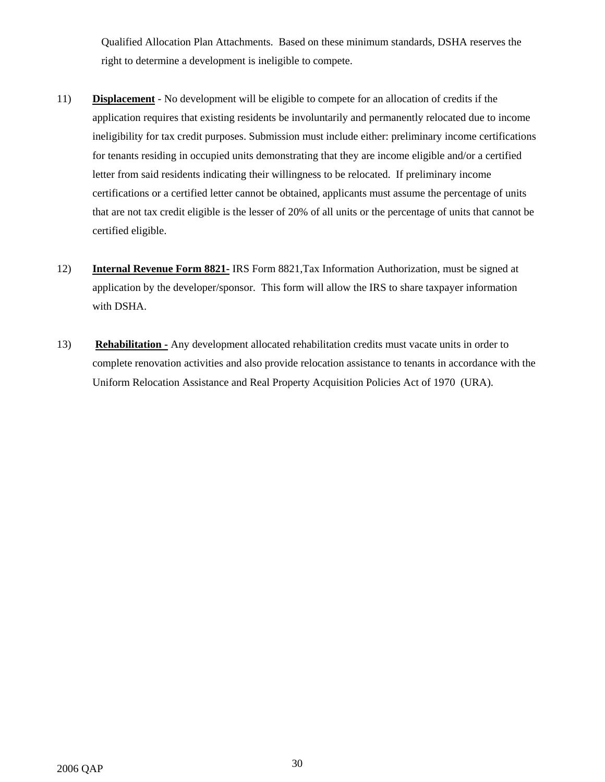Qualified Allocation Plan Attachments. Based on these minimum standards, DSHA reserves the right to determine a development is ineligible to compete.

- 11) **Displacement** No development will be eligible to compete for an allocation of credits if the application requires that existing residents be involuntarily and permanently relocated due to income ineligibility for tax credit purposes. Submission must include either: preliminary income certifications for tenants residing in occupied units demonstrating that they are income eligible and/or a certified letter from said residents indicating their willingness to be relocated. If preliminary income certifications or a certified letter cannot be obtained, applicants must assume the percentage of units that are not tax credit eligible is the lesser of 20% of all units or the percentage of units that cannot be certified eligible.
- 12) **Internal Revenue Form 8821-** IRS Form 8821,Tax Information Authorization, must be signed at application by the developer/sponsor. This form will allow the IRS to share taxpayer information with DSHA.
- 13) **Rehabilitation -** Any development allocated rehabilitation credits must vacate units in order to complete renovation activities and also provide relocation assistance to tenants in accordance with the Uniform Relocation Assistance and Real Property Acquisition Policies Act of 1970 (URA).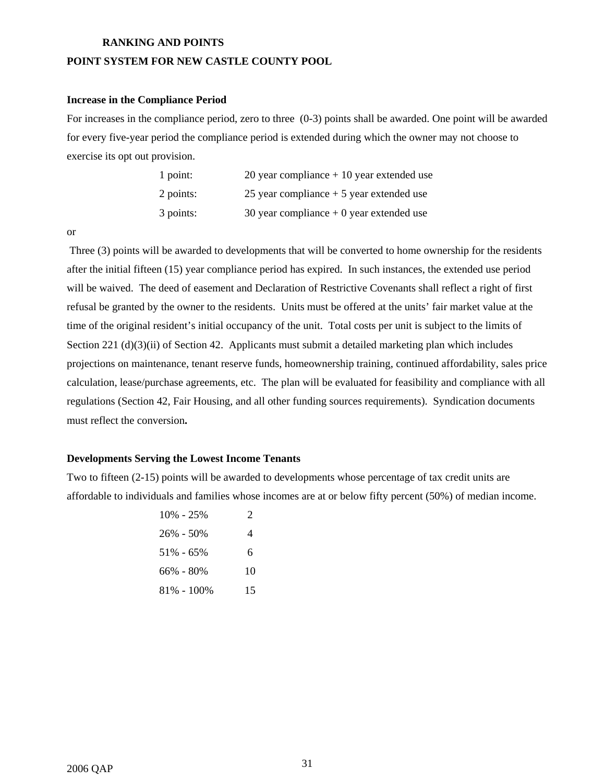#### **RANKING AND POINTS**

## **POINT SYSTEM FOR NEW CASTLE COUNTY POOL**

### **Increase in the Compliance Period**

For increases in the compliance period, zero to three (0-3) points shall be awarded. One point will be awarded for every five-year period the compliance period is extended during which the owner may not choose to exercise its opt out provision.

| 1 point:  | 20 year compliance $+10$ year extended use |
|-----------|--------------------------------------------|
| 2 points: | 25 year compliance $+5$ year extended use  |
| 3 points: | 30 year compliance $+0$ year extended use  |

or

Three (3) points will be awarded to developments that will be converted to home ownership for the residents after the initial fifteen (15) year compliance period has expired. In such instances, the extended use period will be waived. The deed of easement and Declaration of Restrictive Covenants shall reflect a right of first refusal be granted by the owner to the residents. Units must be offered at the units' fair market value at the time of the original resident's initial occupancy of the unit. Total costs per unit is subject to the limits of Section 221 (d)(3)(ii) of Section 42. Applicants must submit a detailed marketing plan which includes projections on maintenance, tenant reserve funds, homeownership training, continued affordability, sales price calculation, lease/purchase agreements, etc. The plan will be evaluated for feasibility and compliance with all regulations (Section 42, Fair Housing, and all other funding sources requirements). Syndication documents must reflect the conversion**.** 

#### **Developments Serving the Lowest Income Tenants**

Two to fifteen (2-15) points will be awarded to developments whose percentage of tax credit units are affordable to individuals and families whose incomes are at or below fifty percent (50%) of median income.

| $10\% - 25\%$  | 2  |
|----------------|----|
| $26\% - 50\%$  | 4  |
| $51\% - 65\%$  | 6  |
| 66% - 80%      | 10 |
| $81\% - 100\%$ | 15 |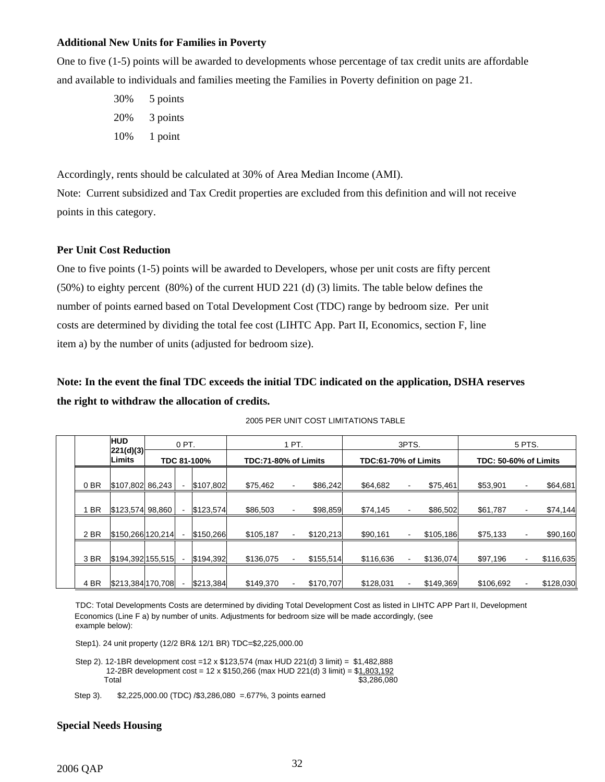#### **Additional New Units for Families in Poverty**

One to five (1-5) points will be awarded to developments whose percentage of tax credit units are affordable and available to individuals and families meeting the Families in Poverty definition on page 21.

> 30% 5 points 20% 3 points 10% 1 point

Accordingly, rents should be calculated at 30% of Area Median Income (AMI).

Note: Current subsidized and Tax Credit properties are excluded from this definition and will not receive points in this category.

### **Per Unit Cost Reduction**

One to five points (1-5) points will be awarded to Developers, whose per unit costs are fifty percent (50%) to eighty percent (80%) of the current HUD 221 (d) (3) limits. The table below defines the number of points earned based on Total Development Cost (TDC) range by bedroom size. Per unit costs are determined by dividing the total fee cost (LIHTC App. Part II, Economics, section F, line item a) by the number of units (adjusted for bedroom size).

**Note: In the event the final TDC exceeds the initial TDC indicated on the application, DSHA reserves the right to withdraw the allocation of credits.** 

|                 | <b>HUD</b><br>0 PT. |             | 1 PT. |                      |           |  | 3PTS.                       | 5 PTS.<br><b>TDC: 50-60% of Limits</b> |                          |           |           |  |           |
|-----------------|---------------------|-------------|-------|----------------------|-----------|--|-----------------------------|----------------------------------------|--------------------------|-----------|-----------|--|-----------|
|                 | 221(d)(3)<br>Limits | TDC 81-100% |       | TDC:71-80% of Limits |           |  | <b>TDC:61-70% of Limits</b> |                                        |                          |           |           |  |           |
| 0 <sub>BR</sub> | \$107,802 86,243    |             |       | \$107,802            | \$75,462  |  | \$86,242                    | \$64,682                               | ٠                        | \$75,461  | \$53,901  |  | \$64,681  |
| <b>BR</b>       | \$123,574 98,860    |             |       | \$123,574            | \$86,503  |  | \$98,859                    | \$74,145                               | ۰                        | \$86,502  | \$61,787  |  | \$74,144  |
| 2 BR            | \$150,266 120,214   |             |       | \$150,266            | \$105,187 |  | \$120,213                   | \$90,161                               | $\overline{\phantom{a}}$ | \$105,186 | \$75,133  |  | \$90,160  |
| 3BR             | \$194,392 155,515   |             |       | \$194,392            | \$136,075 |  | \$155,514                   | \$116,636                              |                          | \$136,074 | \$97,196  |  | \$116,635 |
| 4 BR            | \$213,384 170,708   |             |       | \$213.384            | \$149.370 |  | \$170,707                   | \$128,031                              | $\blacksquare$           | \$149.369 | \$106,692 |  | \$128,030 |

2005 PER UNIT COST LIMITATIONS TABLE

TDC: Total Developments Costs are determined by dividing Total Development Cost as listed in LIHTC APP Part II, Development Economics (Line F a) by number of units. Adjustments for bedroom size will be made accordingly, (see example below):

Step1). 24 unit property (12/2 BR& 12/1 BR) TDC=\$2,225,000.00

Step 2). 12-1BR development cost =12 x \$123,574 (max HUD 221(d) 3 limit) = \$1,482,888 12-2BR development cost = 12 x \$150,266 (max HUD 221(d) 3 limit) = \$1,803,192 Total \$3,286,080

Step 3). \$2,225,000.00 (TDC) /\$3,286,080 =.677%, 3 points earned

#### **Special Needs Housing**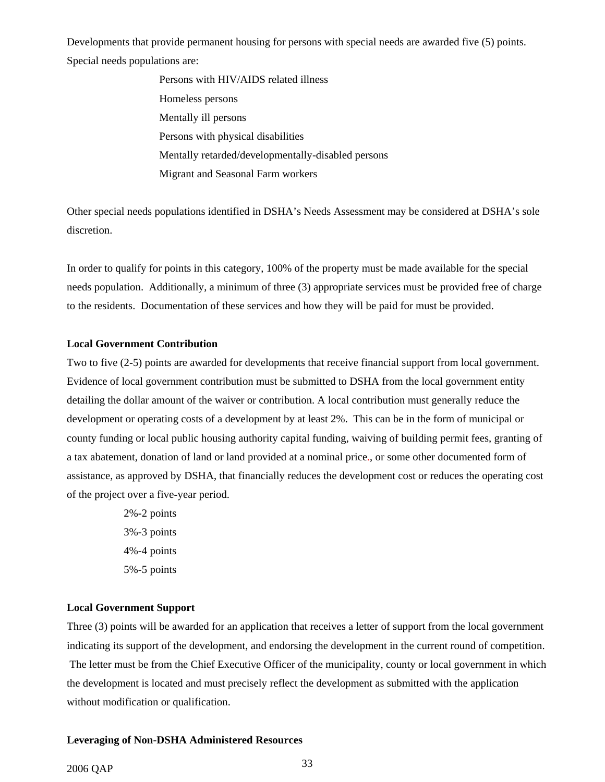Developments that provide permanent housing for persons with special needs are awarded five (5) points. Special needs populations are:

> Persons with HIV/AIDS related illness Homeless persons Mentally ill persons Persons with physical disabilities Mentally retarded/developmentally-disabled persons Migrant and Seasonal Farm workers

Other special needs populations identified in DSHA's Needs Assessment may be considered at DSHA's sole discretion.

In order to qualify for points in this category, 100% of the property must be made available for the special needs population. Additionally, a minimum of three (3) appropriate services must be provided free of charge to the residents. Documentation of these services and how they will be paid for must be provided.

## **Local Government Contribution**

Two to five (2-5) points are awarded for developments that receive financial support from local government. Evidence of local government contribution must be submitted to DSHA from the local government entity detailing the dollar amount of the waiver or contribution. A local contribution must generally reduce the development or operating costs of a development by at least 2%. This can be in the form of municipal or county funding or local public housing authority capital funding, waiving of building permit fees, granting of a tax abatement, donation of land or land provided at a nominal price., or some other documented form of assistance, as approved by DSHA, that financially reduces the development cost or reduces the operating cost of the project over a five-year period.

> 2%-2 points 3%-3 points 4%-4 points 5%-5 points

## **Local Government Support**

Three (3) points will be awarded for an application that receives a letter of support from the local government indicating its support of the development, and endorsing the development in the current round of competition. The letter must be from the Chief Executive Officer of the municipality, county or local government in which the development is located and must precisely reflect the development as submitted with the application without modification or qualification.

#### **Leveraging of Non-DSHA Administered Resources**

## 2006 QAP <sup>33</sup>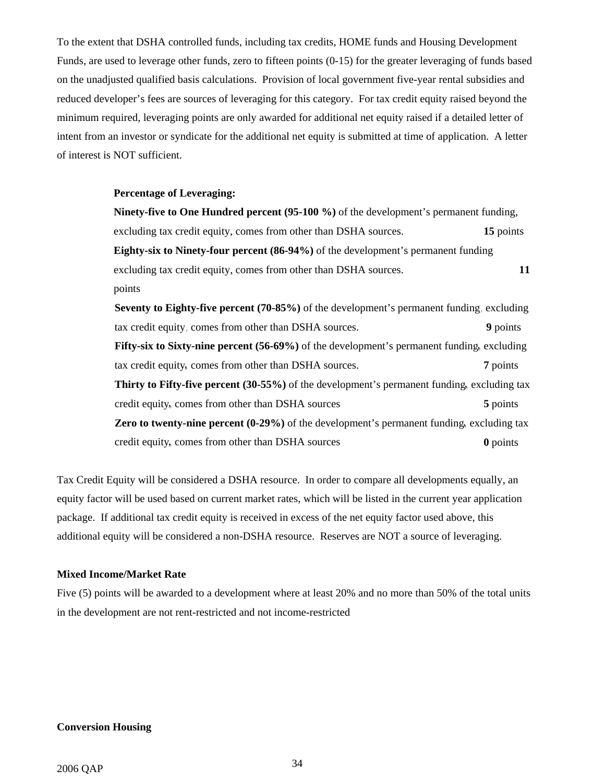To the extent that DSHA controlled funds, including tax credits, HOME funds and Housing Development Funds, are used to leverage other funds, zero to fifteen points (0-15) for the greater leveraging of funds based on the unadjusted qualified basis calculations. Provision of local government five-year rental subsidies and reduced developer's fees are sources of leveraging for this category. For tax credit equity raised beyond the minimum required, leveraging points are only awarded for additional net equity raised if a detailed letter of intent from an investor or syndicate for the additional net equity is submitted at time of application. A letter of interest is NOT sufficient.

#### **Percentage of Leveraging:**

**Ninety-five to One Hundred percent (95-100 %)** of the development's permanent funding, excluding tax credit equity, comes from other than DSHA sources. **15** points **Eighty-six to Ninety-four percent (86-94%)** of the development's permanent funding excluding tax credit equity, comes from other than DSHA sources. **11** points **Seventy to Eighty-five percent (70-85%)** of the development's permanent funding, excluding tax credit equity, comes from other than DSHA sources. 9 points Fifty-six to Sixty-nine percent (56-69%) of the development's permanent funding, excluding tax credit equity, comes from other than DSHA sources. **7** points **Thirty to Fifty-five percent (30-55%)** of the development's permanent funding, excluding tax credit equity, comes from other than DSHA sources 5 points 5 points

**Zero to twenty-nine percent (0-29%)** of the development's permanent funding, excluding tax credit equity,,, comes from other than DSHA sources **0** points

Tax Credit Equity will be considered a DSHA resource. In order to compare all developments equally, an equity factor will be used based on current market rates, which will be listed in the current year application package. If additional tax credit equity is received in excess of the net equity factor used above, this additional equity will be considered a non-DSHA resource. Reserves are NOT a source of leveraging.

#### **Mixed Income/Market Rate**

Five (5) points will be awarded to a development where at least 20% and no more than 50% of the total units in the development are not rent-restricted and not income-restricted

#### **Conversion Housing**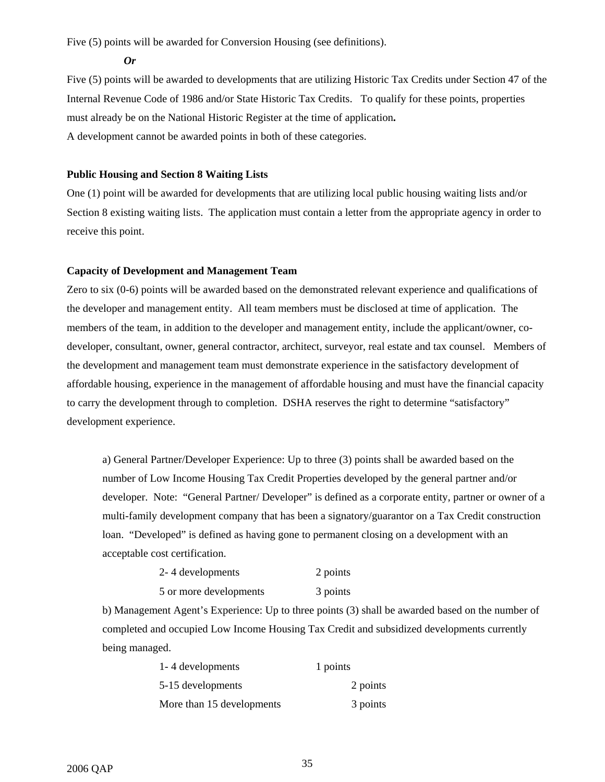Five (5) points will be awarded for Conversion Housing (see definitions).

*Or* 

Five (5) points will be awarded to developments that are utilizing Historic Tax Credits under Section 47 of the Internal Revenue Code of 1986 and/or State Historic Tax Credits. To qualify for these points, properties must already be on the National Historic Register at the time of application**.**  A development cannot be awarded points in both of these categories.

## **Public Housing and Section 8 Waiting Lists**

One (1) point will be awarded for developments that are utilizing local public housing waiting lists and/or Section 8 existing waiting lists. The application must contain a letter from the appropriate agency in order to receive this point.

## **Capacity of Development and Management Team**

Zero to six (0-6) points will be awarded based on the demonstrated relevant experience and qualifications of the developer and management entity. All team members must be disclosed at time of application. The members of the team, in addition to the developer and management entity, include the applicant/owner, codeveloper, consultant, owner, general contractor, architect, surveyor, real estate and tax counsel. Members of the development and management team must demonstrate experience in the satisfactory development of affordable housing, experience in the management of affordable housing and must have the financial capacity to carry the development through to completion. DSHA reserves the right to determine "satisfactory" development experience.

a) General Partner/Developer Experience: Up to three (3) points shall be awarded based on the number of Low Income Housing Tax Credit Properties developed by the general partner and/or developer. Note: "General Partner/ Developer" is defined as a corporate entity, partner or owner of a multi-family development company that has been a signatory/guarantor on a Tax Credit construction loan. "Developed" is defined as having gone to permanent closing on a development with an acceptable cost certification.

| 2-4 developments       | 2 points |
|------------------------|----------|
| 5 or more developments | 3 points |

b) Management Agent's Experience: Up to three points (3) shall be awarded based on the number of completed and occupied Low Income Housing Tax Credit and subsidized developments currently being managed.

| 1-4 developments          | 1 points |
|---------------------------|----------|
| 5-15 developments         | 2 points |
| More than 15 developments | 3 points |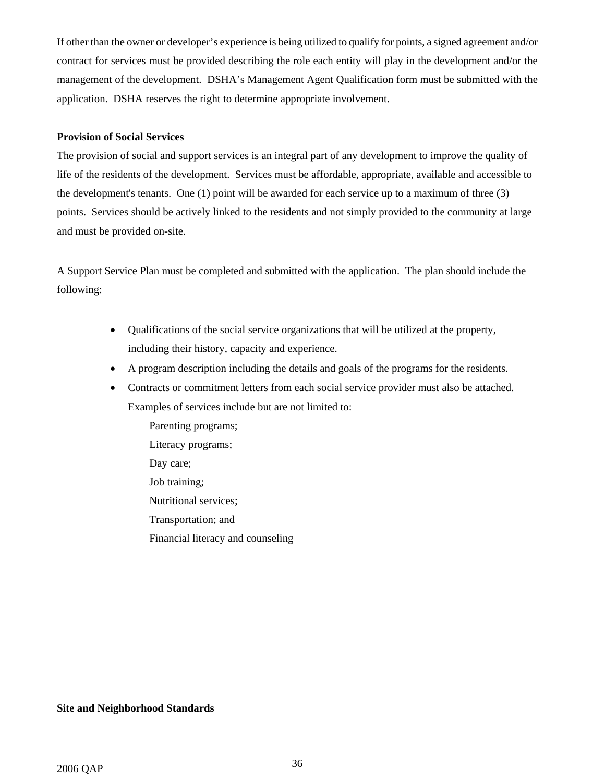If other than the owner or developer's experience is being utilized to qualify for points, a signed agreement and/or contract for services must be provided describing the role each entity will play in the development and/or the management of the development. DSHA's Management Agent Qualification form must be submitted with the application. DSHA reserves the right to determine appropriate involvement.

#### **Provision of Social Services**

The provision of social and support services is an integral part of any development to improve the quality of life of the residents of the development. Services must be affordable, appropriate, available and accessible to the development's tenants. One (1) point will be awarded for each service up to a maximum of three (3) points. Services should be actively linked to the residents and not simply provided to the community at large and must be provided on-site.

A Support Service Plan must be completed and submitted with the application. The plan should include the following:

- Qualifications of the social service organizations that will be utilized at the property, including their history, capacity and experience.
- A program description including the details and goals of the programs for the residents.
- Contracts or commitment letters from each social service provider must also be attached. Examples of services include but are not limited to:

Parenting programs; Literacy programs; Day care; Job training; Nutritional services; Transportation; and Financial literacy and counseling

#### **Site and Neighborhood Standards**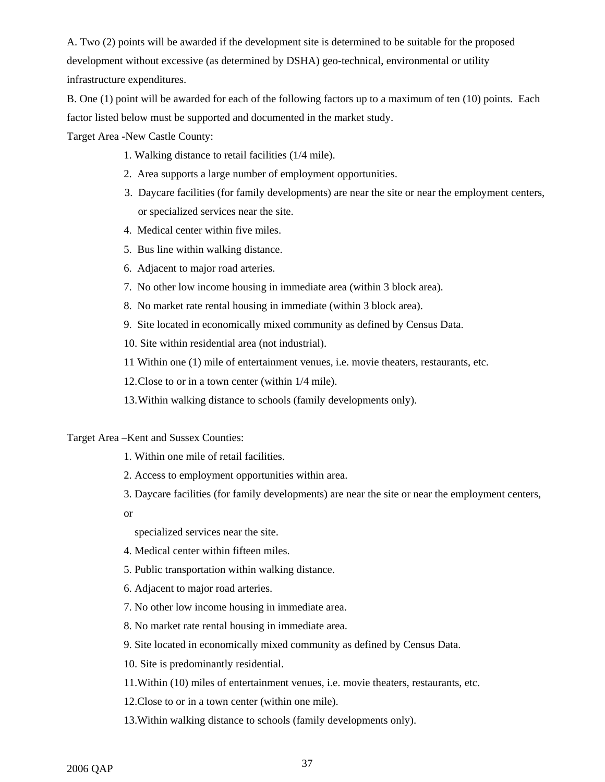A. Two (2) points will be awarded if the development site is determined to be suitable for the proposed development without excessive (as determined by DSHA) geo-technical, environmental or utility infrastructure expenditures.

B. One (1) point will be awarded for each of the following factors up to a maximum of ten (10) points. Each factor listed below must be supported and documented in the market study.

Target Area -New Castle County:

- 1. Walking distance to retail facilities (1/4 mile).
- 2. Area supports a large number of employment opportunities.
- 3. Daycare facilities (for family developments) are near the site or near the employment centers, or specialized services near the site.
- 4. Medical center within five miles.
- 5. Bus line within walking distance.
- 6. Adjacent to major road arteries.
- 7. No other low income housing in immediate area (within 3 block area).
- 8. No market rate rental housing in immediate (within 3 block area).
- 9. Site located in economically mixed community as defined by Census Data.
- 10. Site within residential area (not industrial).
- 11 Within one (1) mile of entertainment venues, i.e. movie theaters, restaurants, etc.

12. Close to or in a town center (within 1/4 mile).

13. Within walking distance to schools (family developments only).

#### Target Area –Kent and Sussex Counties:

- 1. Within one mile of retail facilities.
- 2. Access to employment opportunities within area.
- 3. Daycare facilities (for family developments) are near the site or near the employment centers,
- or

specialized services near the site.

- 4. Medical center within fifteen miles.
- 5. Public transportation within walking distance.
- 6. Adjacent to major road arteries.
- 7. No other low income housing in immediate area.
- 8. No market rate rental housing in immediate area.
- 9. Site located in economically mixed community as defined by Census Data.
- 10. Site is predominantly residential.
- 11.Within (10) miles of entertainment venues, i.e. movie theaters, restaurants, etc.
- 12.Close to or in a town center (within one mile).
- 13.Within walking distance to schools (family developments only).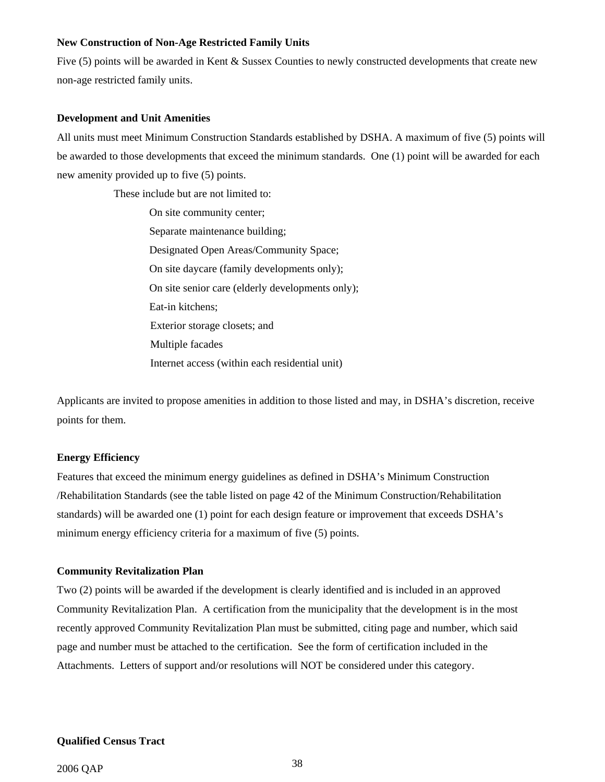#### **New Construction of Non-Age Restricted Family Units**

Five (5) points will be awarded in Kent & Sussex Counties to newly constructed developments that create new non-age restricted family units.

#### **Development and Unit Amenities**

All units must meet Minimum Construction Standards established by DSHA. A maximum of five (5) points will be awarded to those developments that exceed the minimum standards. One (1) point will be awarded for each new amenity provided up to five (5) points.

These include but are not limited to:

On site community center; Separate maintenance building; Designated Open Areas/Community Space; On site daycare (family developments only); On site senior care (elderly developments only); Eat-in kitchens; Exterior storage closets; and Multiple facades Internet access (within each residential unit)

Applicants are invited to propose amenities in addition to those listed and may, in DSHA's discretion, receive points for them.

#### **Energy Efficiency**

Features that exceed the minimum energy guidelines as defined in DSHA's Minimum Construction /Rehabilitation Standards (see the table listed on page 42 of the Minimum Construction/Rehabilitation standards) will be awarded one (1) point for each design feature or improvement that exceeds DSHA's minimum energy efficiency criteria for a maximum of five (5) points.

#### **Community Revitalization Plan**

Two (2) points will be awarded if the development is clearly identified and is included in an approved Community Revitalization Plan. A certification from the municipality that the development is in the most recently approved Community Revitalization Plan must be submitted, citing page and number, which said page and number must be attached to the certification. See the form of certification included in the Attachments. Letters of support and/or resolutions will NOT be considered under this category.

#### **Qualified Census Tract**

## 2006 QAP 38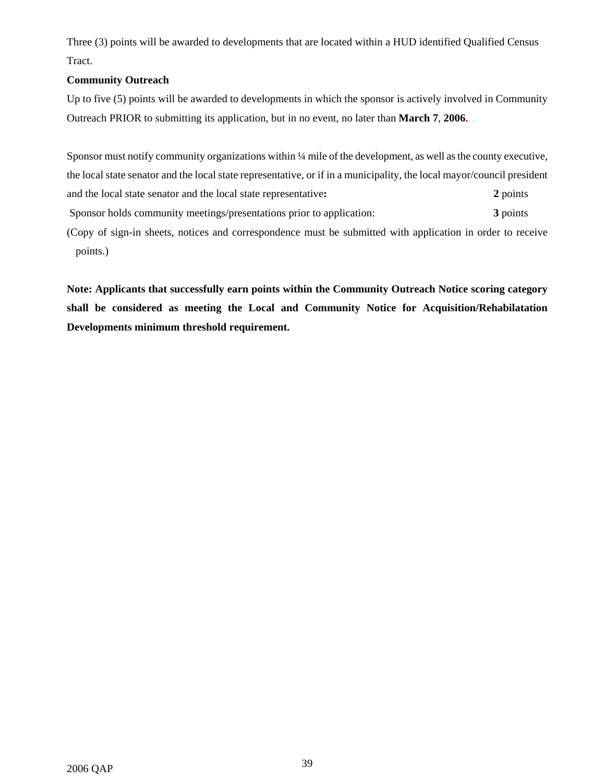Three (3) points will be awarded to developments that are located within a HUD identified Qualified Census Tract.

## **Community Outreach**

Up to five (5) points will be awarded to developments in which the sponsor is actively involved in Community Outreach PRIOR to submitting its application, but in no event, no later than **March 7**, **2006.**

Sponsor must notify community organizations within ¼ mile of the development, as well as the county executive, the local state senator and the local state representative, or if in a municipality, the local mayor/council president and the local state senator and the local state representative**: 2** points Sponsor holds community meetings/presentations prior to application: **3** points (Copy of sign-in sheets, notices and correspondence must be submitted with application in order to receive points.)

**Note: Applicants that successfully earn points within the Community Outreach Notice scoring category shall be considered as meeting the Local and Community Notice for Acquisition/Rehabilatation Developments minimum threshold requirement.**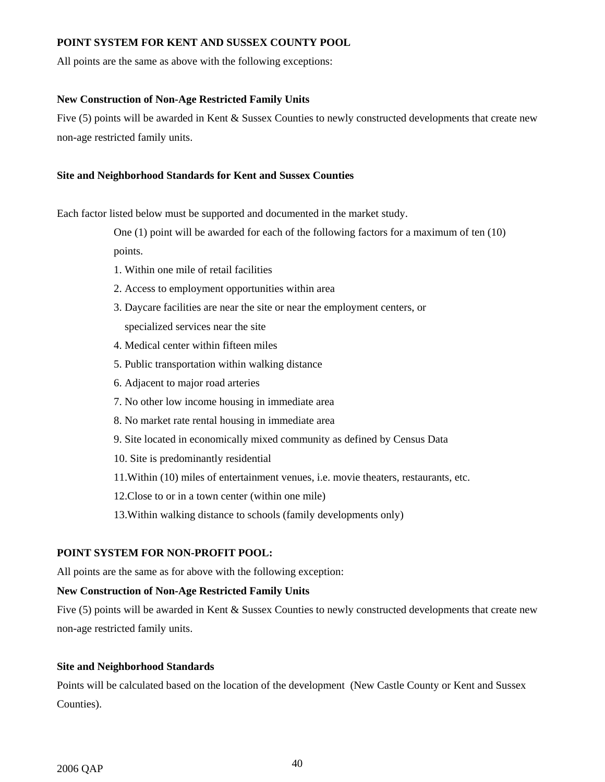## **POINT SYSTEM FOR KENT AND SUSSEX COUNTY POOL**

All points are the same as above with the following exceptions:

#### **New Construction of Non-Age Restricted Family Units**

Five (5) points will be awarded in Kent & Sussex Counties to newly constructed developments that create new non-age restricted family units.

#### **Site and Neighborhood Standards for Kent and Sussex Counties**

Each factor listed below must be supported and documented in the market study.

One (1) point will be awarded for each of the following factors for a maximum of ten (10) points.

- 1. Within one mile of retail facilities
- 2. Access to employment opportunities within area
- 3. Daycare facilities are near the site or near the employment centers, or specialized services near the site
- 4. Medical center within fifteen miles
- 5. Public transportation within walking distance
- 6. Adjacent to major road arteries
- 7. No other low income housing in immediate area
- 8. No market rate rental housing in immediate area
- 9. Site located in economically mixed community as defined by Census Data
- 10. Site is predominantly residential
- 11.Within (10) miles of entertainment venues, i.e. movie theaters, restaurants, etc.
- 12.Close to or in a town center (within one mile)
- 13.Within walking distance to schools (family developments only)

## **POINT SYSTEM FOR NON-PROFIT POOL:**

All points are the same as for above with the following exception:

## **New Construction of Non-Age Restricted Family Units**

Five (5) points will be awarded in Kent & Sussex Counties to newly constructed developments that create new non-age restricted family units.

#### **Site and Neighborhood Standards**

Points will be calculated based on the location of the development (New Castle County or Kent and Sussex Counties).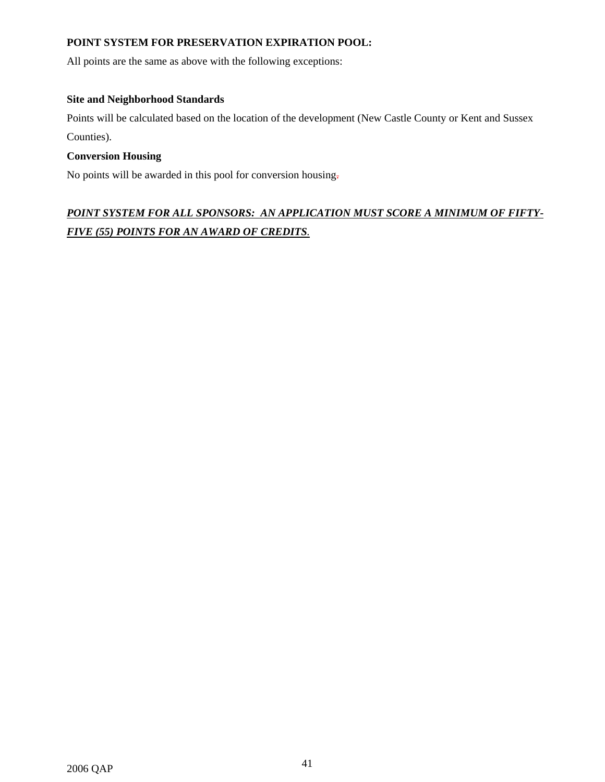## **POINT SYSTEM FOR PRESERVATION EXPIRATION POOL:**

All points are the same as above with the following exceptions:

## **Site and Neighborhood Standards**

Points will be calculated based on the location of the development (New Castle County or Kent and Sussex Counties).

## **Conversion Housing**

No points will be awarded in this pool for conversion housing.

## *POINT SYSTEM FOR ALL SPONSORS: AN APPLICATION MUST SCORE A MINIMUM OF FIFTY-FIVE (55) POINTS FOR AN AWARD OF CREDITS.*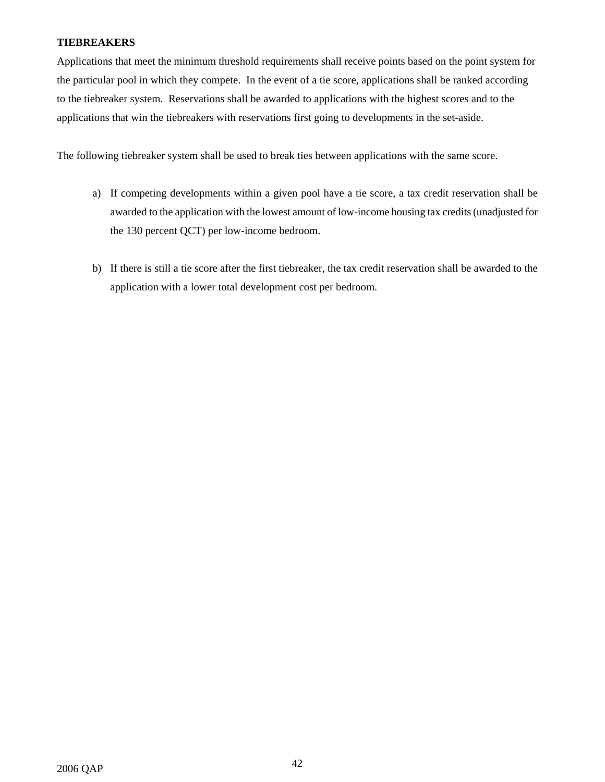## **TIEBREAKERS**

Applications that meet the minimum threshold requirements shall receive points based on the point system for the particular pool in which they compete. In the event of a tie score, applications shall be ranked according to the tiebreaker system. Reservations shall be awarded to applications with the highest scores and to the applications that win the tiebreakers with reservations first going to developments in the set-aside.

The following tiebreaker system shall be used to break ties between applications with the same score.

- a) If competing developments within a given pool have a tie score, a tax credit reservation shall be awarded to the application with the lowest amount of low-income housing tax credits (unadjusted for the 130 percent QCT) per low-income bedroom.
- b) If there is still a tie score after the first tiebreaker, the tax credit reservation shall be awarded to the application with a lower total development cost per bedroom.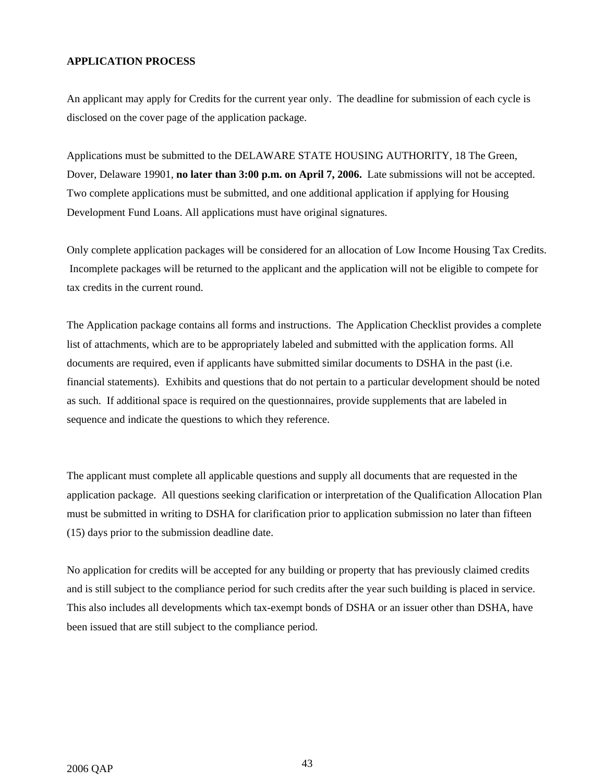## **APPLICATION PROCESS**

An applicant may apply for Credits for the current year only. The deadline for submission of each cycle is disclosed on the cover page of the application package.

Applications must be submitted to the DELAWARE STATE HOUSING AUTHORITY, 18 The Green, Dover, Delaware 19901, **no later than 3:00 p.m. on April 7, 2006.** Late submissions will not be accepted. Two complete applications must be submitted, and one additional application if applying for Housing Development Fund Loans. All applications must have original signatures.

Only complete application packages will be considered for an allocation of Low Income Housing Tax Credits. Incomplete packages will be returned to the applicant and the application will not be eligible to compete for tax credits in the current round.

The Application package contains all forms and instructions. The Application Checklist provides a complete list of attachments, which are to be appropriately labeled and submitted with the application forms. All documents are required, even if applicants have submitted similar documents to DSHA in the past (i.e. financial statements). Exhibits and questions that do not pertain to a particular development should be noted as such. If additional space is required on the questionnaires, provide supplements that are labeled in sequence and indicate the questions to which they reference.

The applicant must complete all applicable questions and supply all documents that are requested in the application package. All questions seeking clarification or interpretation of the Qualification Allocation Plan must be submitted in writing to DSHA for clarification prior to application submission no later than fifteen (15) days prior to the submission deadline date.

No application for credits will be accepted for any building or property that has previously claimed credits and is still subject to the compliance period for such credits after the year such building is placed in service. This also includes all developments which tax-exempt bonds of DSHA or an issuer other than DSHA, have been issued that are still subject to the compliance period.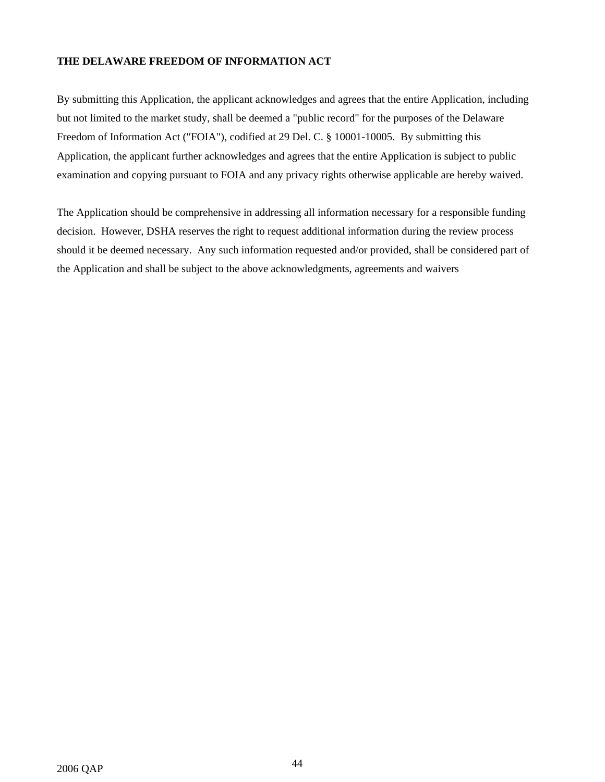## **THE DELAWARE FREEDOM OF INFORMATION ACT**

By submitting this Application, the applicant acknowledges and agrees that the entire Application, including but not limited to the market study, shall be deemed a "public record" for the purposes of the Delaware Freedom of Information Act ("FOIA"), codified at 29 Del. C. § 10001-10005. By submitting this Application, the applicant further acknowledges and agrees that the entire Application is subject to public examination and copying pursuant to FOIA and any privacy rights otherwise applicable are hereby waived.

The Application should be comprehensive in addressing all information necessary for a responsible funding decision. However, DSHA reserves the right to request additional information during the review process should it be deemed necessary. Any such information requested and/or provided, shall be considered part of the Application and shall be subject to the above acknowledgments, agreements and waivers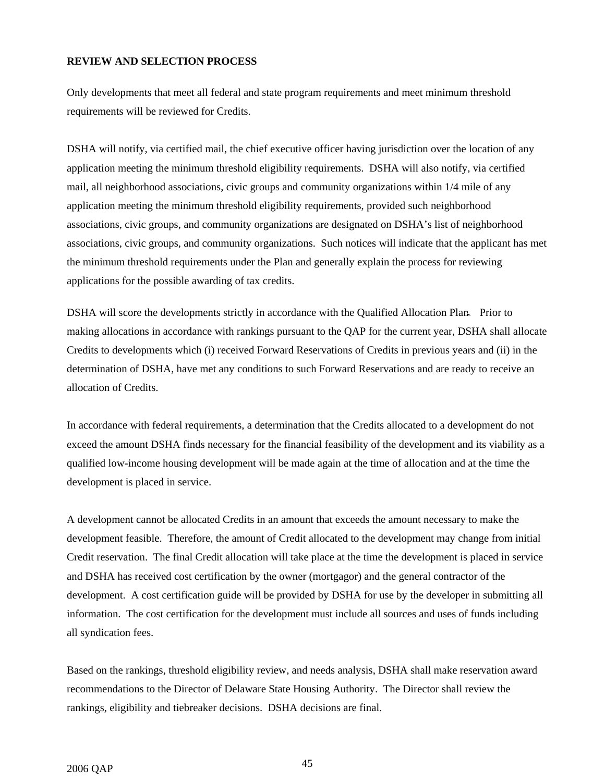## **REVIEW AND SELECTION PROCESS**

Only developments that meet all federal and state program requirements and meet minimum threshold requirements will be reviewed for Credits.

DSHA will notify, via certified mail, the chief executive officer having jurisdiction over the location of any application meeting the minimum threshold eligibility requirements. DSHA will also notify, via certified mail, all neighborhood associations, civic groups and community organizations within 1/4 mile of any application meeting the minimum threshold eligibility requirements, provided such neighborhood associations, civic groups, and community organizations are designated on DSHA's list of neighborhood associations, civic groups, and community organizations. Such notices will indicate that the applicant has met the minimum threshold requirements under the Plan and generally explain the process for reviewing applications for the possible awarding of tax credits.

DSHA will score the developments strictly in accordance with the Qualified Allocation Plan. Prior to making allocations in accordance with rankings pursuant to the QAP for the current year, DSHA shall allocate Credits to developments which (i) received Forward Reservations of Credits in previous years and (ii) in the determination of DSHA, have met any conditions to such Forward Reservations and are ready to receive an allocation of Credits.

In accordance with federal requirements, a determination that the Credits allocated to a development do not exceed the amount DSHA finds necessary for the financial feasibility of the development and its viability as a qualified low-income housing development will be made again at the time of allocation and at the time the development is placed in service.

A development cannot be allocated Credits in an amount that exceeds the amount necessary to make the development feasible. Therefore, the amount of Credit allocated to the development may change from initial Credit reservation. The final Credit allocation will take place at the time the development is placed in service and DSHA has received cost certification by the owner (mortgagor) and the general contractor of the development. A cost certification guide will be provided by DSHA for use by the developer in submitting all information. The cost certification for the development must include all sources and uses of funds including all syndication fees.

Based on the rankings, threshold eligibility review, and needs analysis, DSHA shall make reservation award recommendations to the Director of Delaware State Housing Authority. The Director shall review the rankings, eligibility and tiebreaker decisions. DSHA decisions are final.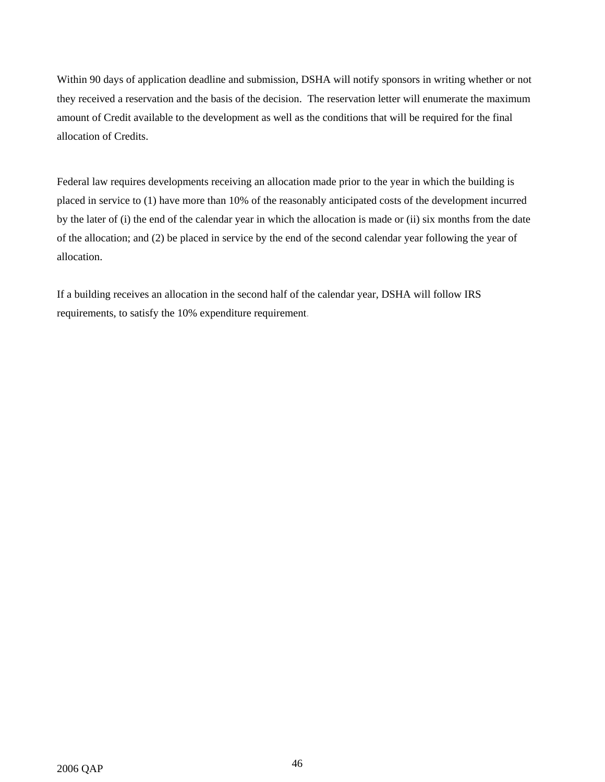Within 90 days of application deadline and submission, DSHA will notify sponsors in writing whether or not they received a reservation and the basis of the decision. The reservation letter will enumerate the maximum amount of Credit available to the development as well as the conditions that will be required for the final allocation of Credits.

Federal law requires developments receiving an allocation made prior to the year in which the building is placed in service to (1) have more than 10% of the reasonably anticipated costs of the development incurred by the later of (i) the end of the calendar year in which the allocation is made or (ii) six months from the date of the allocation; and (2) be placed in service by the end of the second calendar year following the year of allocation.

If a building receives an allocation in the second half of the calendar year, DSHA will follow IRS requirements, to satisfy the 10% expenditure requirement.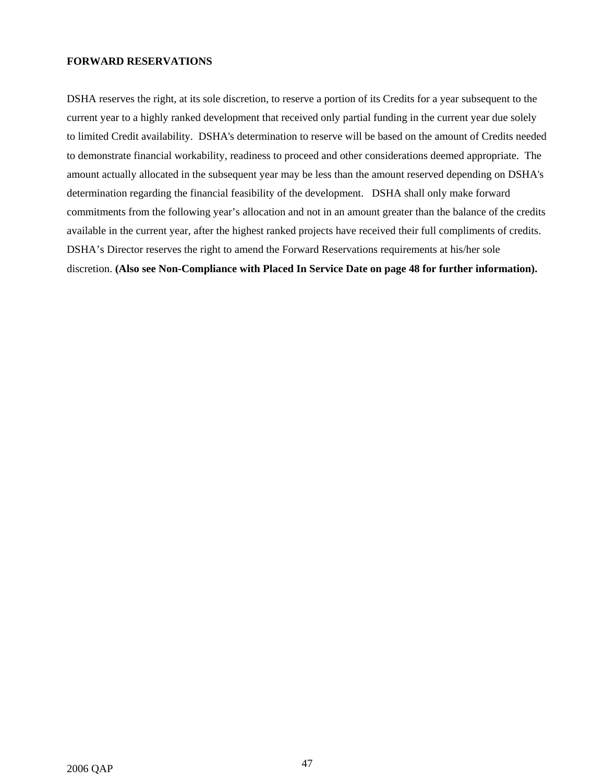#### **FORWARD RESERVATIONS**

DSHA reserves the right, at its sole discretion, to reserve a portion of its Credits for a year subsequent to the current year to a highly ranked development that received only partial funding in the current year due solely to limited Credit availability. DSHA's determination to reserve will be based on the amount of Credits needed to demonstrate financial workability, readiness to proceed and other considerations deemed appropriate. The amount actually allocated in the subsequent year may be less than the amount reserved depending on DSHA's determination regarding the financial feasibility of the development. DSHA shall only make forward commitments from the following year's allocation and not in an amount greater than the balance of the credits available in the current year, after the highest ranked projects have received their full compliments of credits. DSHA's Director reserves the right to amend the Forward Reservations requirements at his/her sole discretion. **(Also see Non-Compliance with Placed In Service Date on page 48 for further information).**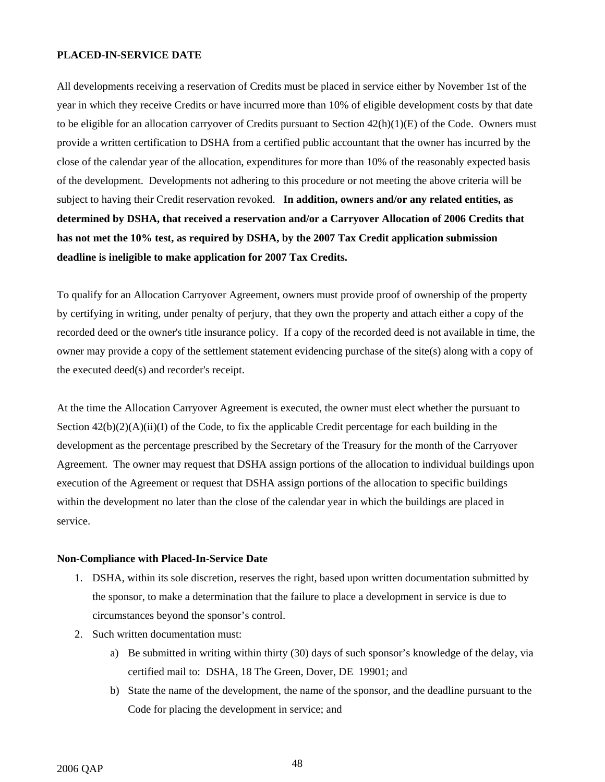#### **PLACED-IN-SERVICE DATE**

All developments receiving a reservation of Credits must be placed in service either by November 1st of the year in which they receive Credits or have incurred more than 10% of eligible development costs by that date to be eligible for an allocation carryover of Credits pursuant to Section  $42(h)(1)(E)$  of the Code. Owners must provide a written certification to DSHA from a certified public accountant that the owner has incurred by the close of the calendar year of the allocation, expenditures for more than 10% of the reasonably expected basis of the development. Developments not adhering to this procedure or not meeting the above criteria will be subject to having their Credit reservation revoked. **In addition, owners and/or any related entities, as determined by DSHA, that received a reservation and/or a Carryover Allocation of 2006 Credits that has not met the 10% test, as required by DSHA, by the 2007 Tax Credit application submission deadline is ineligible to make application for 2007 Tax Credits.**

To qualify for an Allocation Carryover Agreement, owners must provide proof of ownership of the property by certifying in writing, under penalty of perjury, that they own the property and attach either a copy of the recorded deed or the owner's title insurance policy. If a copy of the recorded deed is not available in time, the owner may provide a copy of the settlement statement evidencing purchase of the site(s) along with a copy of the executed deed(s) and recorder's receipt.

At the time the Allocation Carryover Agreement is executed, the owner must elect whether the pursuant to Section  $42(b)(2)(A)(ii)(I)$  of the Code, to fix the applicable Credit percentage for each building in the development as the percentage prescribed by the Secretary of the Treasury for the month of the Carryover Agreement. The owner may request that DSHA assign portions of the allocation to individual buildings upon execution of the Agreement or request that DSHA assign portions of the allocation to specific buildings within the development no later than the close of the calendar year in which the buildings are placed in service.

#### **Non-Compliance with Placed-In-Service Date**

- 1. DSHA, within its sole discretion, reserves the right, based upon written documentation submitted by the sponsor, to make a determination that the failure to place a development in service is due to circumstances beyond the sponsor's control.
- 2. Such written documentation must:
	- a) Be submitted in writing within thirty (30) days of such sponsor's knowledge of the delay, via certified mail to: DSHA, 18 The Green, Dover, DE 19901; and
	- b) State the name of the development, the name of the sponsor, and the deadline pursuant to the Code for placing the development in service; and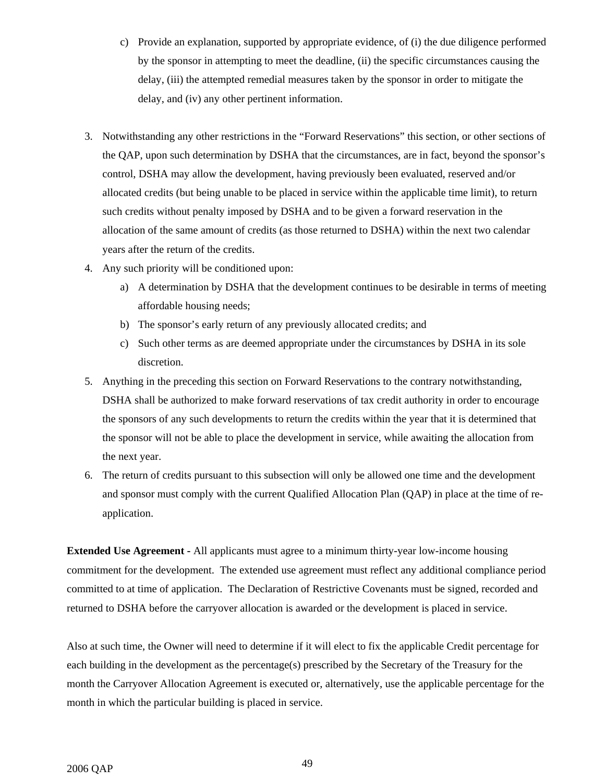- c) Provide an explanation, supported by appropriate evidence, of (i) the due diligence performed by the sponsor in attempting to meet the deadline, (ii) the specific circumstances causing the delay, (iii) the attempted remedial measures taken by the sponsor in order to mitigate the delay, and (iv) any other pertinent information.
- 3. Notwithstanding any other restrictions in the "Forward Reservations" this section, or other sections of the QAP, upon such determination by DSHA that the circumstances, are in fact, beyond the sponsor's control, DSHA may allow the development, having previously been evaluated, reserved and/or allocated credits (but being unable to be placed in service within the applicable time limit), to return such credits without penalty imposed by DSHA and to be given a forward reservation in the allocation of the same amount of credits (as those returned to DSHA) within the next two calendar years after the return of the credits.
- 4. Any such priority will be conditioned upon:
	- a) A determination by DSHA that the development continues to be desirable in terms of meeting affordable housing needs;
	- b) The sponsor's early return of any previously allocated credits; and
	- c) Such other terms as are deemed appropriate under the circumstances by DSHA in its sole discretion.
- 5. Anything in the preceding this section on Forward Reservations to the contrary notwithstanding, DSHA shall be authorized to make forward reservations of tax credit authority in order to encourage the sponsors of any such developments to return the credits within the year that it is determined that the sponsor will not be able to place the development in service, while awaiting the allocation from the next year.
- 6. The return of credits pursuant to this subsection will only be allowed one time and the development and sponsor must comply with the current Qualified Allocation Plan (QAP) in place at the time of reapplication.

**Extended Use Agreement -** All applicants must agree to a minimum thirty-year low-income housing commitment for the development. The extended use agreement must reflect any additional compliance period committed to at time of application. The Declaration of Restrictive Covenants must be signed, recorded and returned to DSHA before the carryover allocation is awarded or the development is placed in service.

Also at such time, the Owner will need to determine if it will elect to fix the applicable Credit percentage for each building in the development as the percentage(s) prescribed by the Secretary of the Treasury for the month the Carryover Allocation Agreement is executed or, alternatively, use the applicable percentage for the month in which the particular building is placed in service.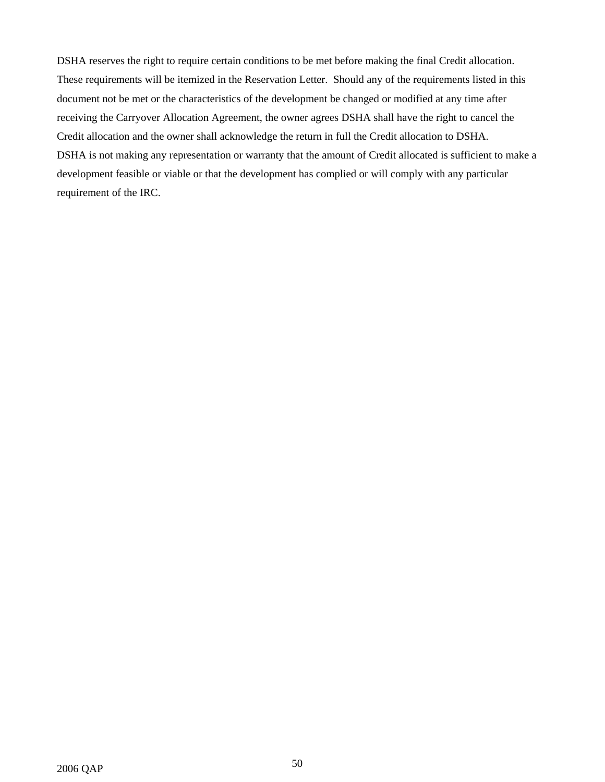DSHA reserves the right to require certain conditions to be met before making the final Credit allocation. These requirements will be itemized in the Reservation Letter. Should any of the requirements listed in this document not be met or the characteristics of the development be changed or modified at any time after receiving the Carryover Allocation Agreement, the owner agrees DSHA shall have the right to cancel the Credit allocation and the owner shall acknowledge the return in full the Credit allocation to DSHA. DSHA is not making any representation or warranty that the amount of Credit allocated is sufficient to make a development feasible or viable or that the development has complied or will comply with any particular requirement of the IRC.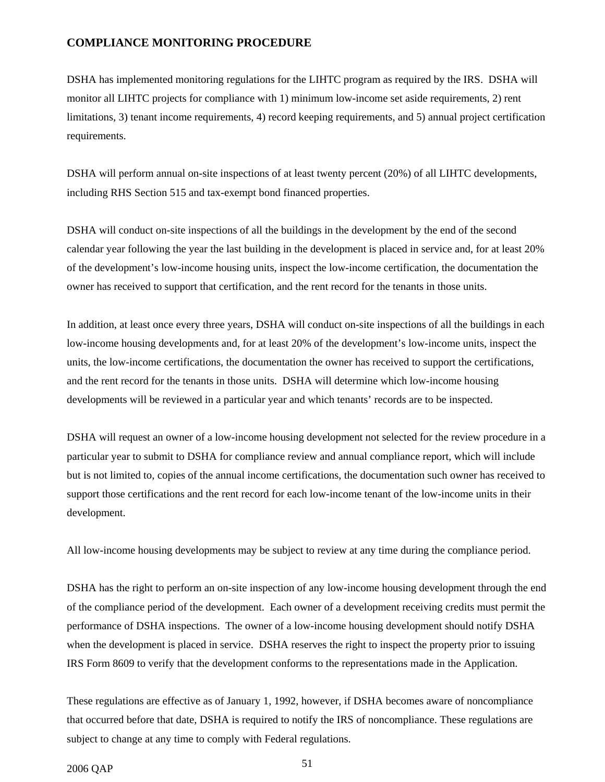## **COMPLIANCE MONITORING PROCEDURE**

DSHA has implemented monitoring regulations for the LIHTC program as required by the IRS. DSHA will monitor all LIHTC projects for compliance with 1) minimum low-income set aside requirements, 2) rent limitations, 3) tenant income requirements, 4) record keeping requirements, and 5) annual project certification requirements.

DSHA will perform annual on-site inspections of at least twenty percent (20%) of all LIHTC developments, including RHS Section 515 and tax-exempt bond financed properties.

DSHA will conduct on-site inspections of all the buildings in the development by the end of the second calendar year following the year the last building in the development is placed in service and, for at least 20% of the development's low-income housing units, inspect the low-income certification, the documentation the owner has received to support that certification, and the rent record for the tenants in those units.

In addition, at least once every three years, DSHA will conduct on-site inspections of all the buildings in each low-income housing developments and, for at least 20% of the development's low-income units, inspect the units, the low-income certifications, the documentation the owner has received to support the certifications, and the rent record for the tenants in those units. DSHA will determine which low-income housing developments will be reviewed in a particular year and which tenants' records are to be inspected.

DSHA will request an owner of a low-income housing development not selected for the review procedure in a particular year to submit to DSHA for compliance review and annual compliance report, which will include but is not limited to, copies of the annual income certifications, the documentation such owner has received to support those certifications and the rent record for each low-income tenant of the low-income units in their development.

All low-income housing developments may be subject to review at any time during the compliance period.

DSHA has the right to perform an on-site inspection of any low-income housing development through the end of the compliance period of the development. Each owner of a development receiving credits must permit the performance of DSHA inspections. The owner of a low-income housing development should notify DSHA when the development is placed in service. DSHA reserves the right to inspect the property prior to issuing IRS Form 8609 to verify that the development conforms to the representations made in the Application.

These regulations are effective as of January 1, 1992, however, if DSHA becomes aware of noncompliance that occurred before that date, DSHA is required to notify the IRS of noncompliance. These regulations are subject to change at any time to comply with Federal regulations.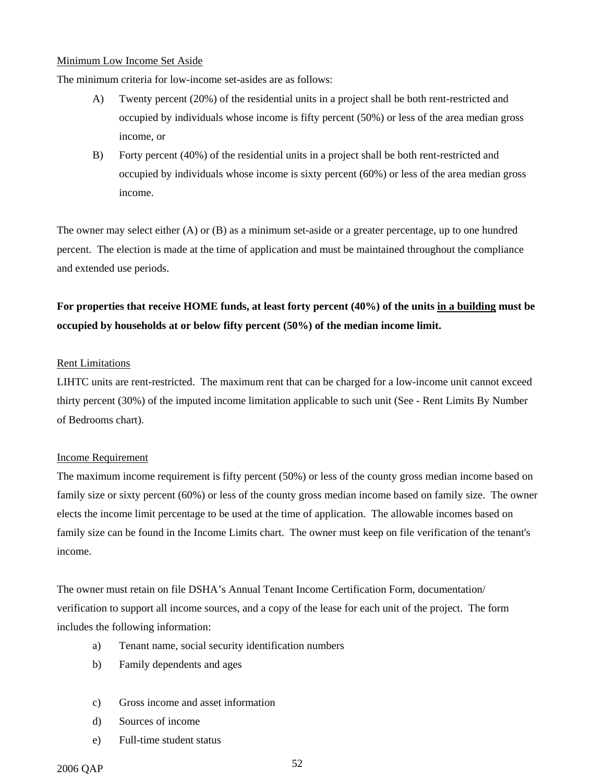#### Minimum Low Income Set Aside

The minimum criteria for low-income set-asides are as follows:

- A) Twenty percent (20%) of the residential units in a project shall be both rent-restricted and occupied by individuals whose income is fifty percent (50%) or less of the area median gross income, or
- B) Forty percent (40%) of the residential units in a project shall be both rent-restricted and occupied by individuals whose income is sixty percent (60%) or less of the area median gross income.

The owner may select either (A) or (B) as a minimum set-aside or a greater percentage, up to one hundred percent. The election is made at the time of application and must be maintained throughout the compliance and extended use periods.

## **For properties that receive HOME funds, at least forty percent (40%) of the units in a building must be occupied by households at or below fifty percent (50%) of the median income limit.**

### Rent Limitations

LIHTC units are rent-restricted. The maximum rent that can be charged for a low-income unit cannot exceed thirty percent (30%) of the imputed income limitation applicable to such unit (See - Rent Limits By Number of Bedrooms chart).

## Income Requirement

The maximum income requirement is fifty percent (50%) or less of the county gross median income based on family size or sixty percent (60%) or less of the county gross median income based on family size. The owner elects the income limit percentage to be used at the time of application. The allowable incomes based on family size can be found in the Income Limits chart. The owner must keep on file verification of the tenant's income.

The owner must retain on file DSHA's Annual Tenant Income Certification Form, documentation/ verification to support all income sources, and a copy of the lease for each unit of the project. The form includes the following information:

- a) Tenant name, social security identification numbers
- b) Family dependents and ages
- c) Gross income and asset information
- d) Sources of income
- e) Full-time student status

2006 QAP 52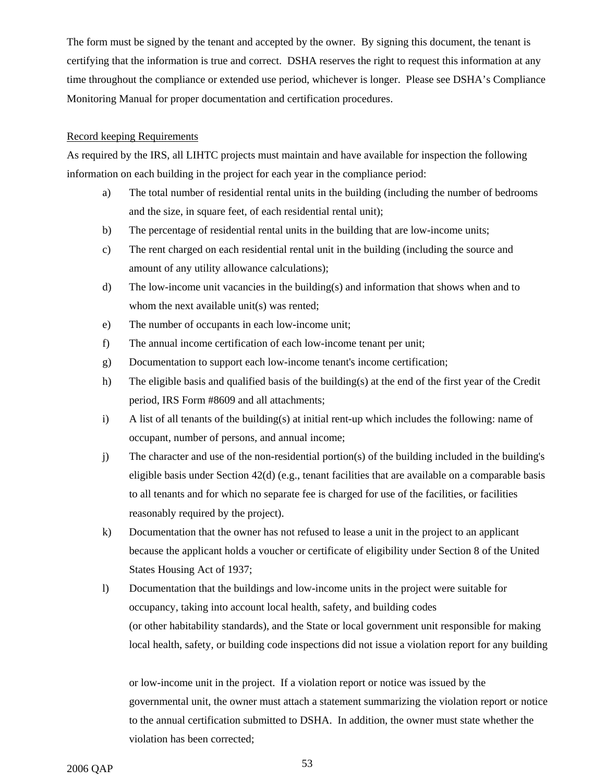The form must be signed by the tenant and accepted by the owner. By signing this document, the tenant is certifying that the information is true and correct. DSHA reserves the right to request this information at any time throughout the compliance or extended use period, whichever is longer. Please see DSHA's Compliance Monitoring Manual for proper documentation and certification procedures.

### Record keeping Requirements

As required by the IRS, all LIHTC projects must maintain and have available for inspection the following information on each building in the project for each year in the compliance period:

- a) The total number of residential rental units in the building (including the number of bedrooms and the size, in square feet, of each residential rental unit);
- b) The percentage of residential rental units in the building that are low-income units;
- c) The rent charged on each residential rental unit in the building (including the source and amount of any utility allowance calculations);
- d) The low-income unit vacancies in the building(s) and information that shows when and to whom the next available unit(s) was rented;
- e) The number of occupants in each low-income unit;
- f) The annual income certification of each low-income tenant per unit;
- g) Documentation to support each low-income tenant's income certification;
- h) The eligible basis and qualified basis of the building(s) at the end of the first year of the Credit period, IRS Form #8609 and all attachments;
- i) A list of all tenants of the building(s) at initial rent-up which includes the following: name of occupant, number of persons, and annual income;
- j) The character and use of the non-residential portion(s) of the building included in the building's eligible basis under Section  $42(d)$  (e.g., tenant facilities that are available on a comparable basis to all tenants and for which no separate fee is charged for use of the facilities, or facilities reasonably required by the project).
- k) Documentation that the owner has not refused to lease a unit in the project to an applicant because the applicant holds a voucher or certificate of eligibility under Section 8 of the United States Housing Act of 1937;
- l) Documentation that the buildings and low-income units in the project were suitable for occupancy, taking into account local health, safety, and building codes (or other habitability standards), and the State or local government unit responsible for making local health, safety, or building code inspections did not issue a violation report for any building

or low-income unit in the project. If a violation report or notice was issued by the governmental unit, the owner must attach a statement summarizing the violation report or notice to the annual certification submitted to DSHA. In addition, the owner must state whether the violation has been corrected;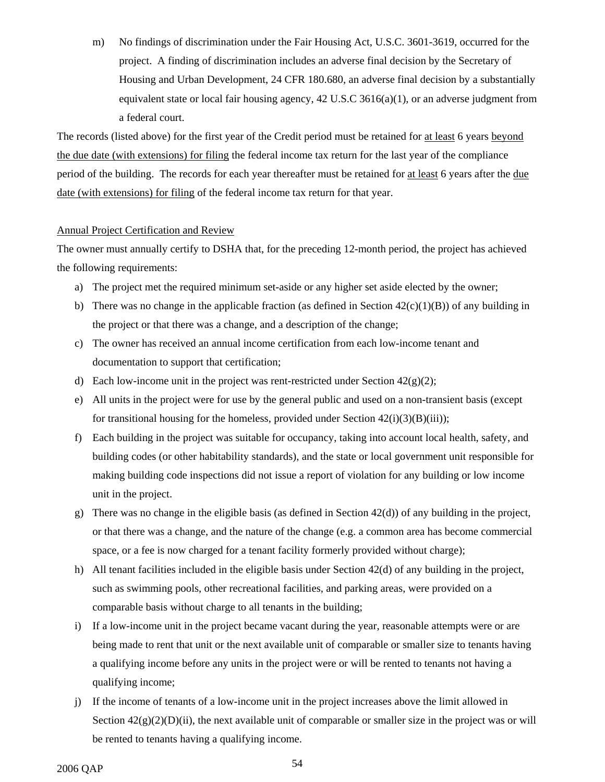m) No findings of discrimination under the Fair Housing Act, U.S.C. 3601-3619, occurred for the project. A finding of discrimination includes an adverse final decision by the Secretary of Housing and Urban Development, 24 CFR 180.680, an adverse final decision by a substantially equivalent state or local fair housing agency,  $42 \text{ U.S.C } 3616(a)(1)$ , or an adverse judgment from a federal court.

The records (listed above) for the first year of the Credit period must be retained for at least 6 years beyond the due date (with extensions) for filing the federal income tax return for the last year of the compliance period of the building. The records for each year thereafter must be retained for at least 6 years after the due date (with extensions) for filing of the federal income tax return for that year.

#### Annual Project Certification and Review

The owner must annually certify to DSHA that, for the preceding 12-month period, the project has achieved the following requirements:

- a) The project met the required minimum set-aside or any higher set aside elected by the owner;
- b) There was no change in the applicable fraction (as defined in Section  $42(c)(1)(B)$ ) of any building in the project or that there was a change, and a description of the change;
- c) The owner has received an annual income certification from each low-income tenant and documentation to support that certification;
- d) Each low-income unit in the project was rent-restricted under Section  $42(g)(2)$ ;
- e) All units in the project were for use by the general public and used on a non-transient basis (except for transitional housing for the homeless, provided under Section  $42(i)(3)(B(iii))$ ;
- f) Each building in the project was suitable for occupancy, taking into account local health, safety, and building codes (or other habitability standards), and the state or local government unit responsible for making building code inspections did not issue a report of violation for any building or low income unit in the project.
- g) There was no change in the eligible basis (as defined in Section  $42(d)$ ) of any building in the project, or that there was a change, and the nature of the change (e.g. a common area has become commercial space, or a fee is now charged for a tenant facility formerly provided without charge);
- h) All tenant facilities included in the eligible basis under Section 42(d) of any building in the project, such as swimming pools, other recreational facilities, and parking areas, were provided on a comparable basis without charge to all tenants in the building;
- i) If a low-income unit in the project became vacant during the year, reasonable attempts were or are being made to rent that unit or the next available unit of comparable or smaller size to tenants having a qualifying income before any units in the project were or will be rented to tenants not having a qualifying income;
- j) If the income of tenants of a low-income unit in the project increases above the limit allowed in Section  $42(g)(2)(D)(ii)$ , the next available unit of comparable or smaller size in the project was or will be rented to tenants having a qualifying income.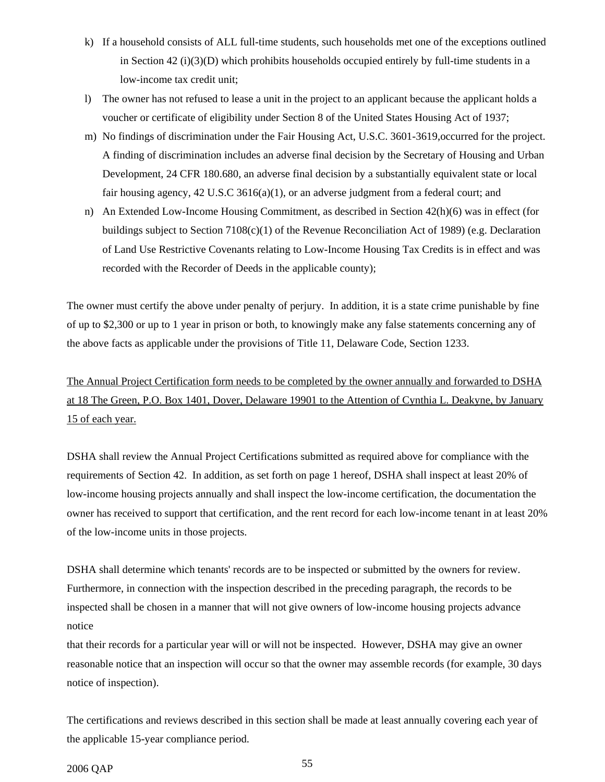- k) If a household consists of ALL full-time students, such households met one of the exceptions outlined in Section 42 (i)(3)(D) which prohibits households occupied entirely by full-time students in a low-income tax credit unit;
- l) The owner has not refused to lease a unit in the project to an applicant because the applicant holds a voucher or certificate of eligibility under Section 8 of the United States Housing Act of 1937;
- m) No findings of discrimination under the Fair Housing Act, U.S.C. 3601-3619,occurred for the project. A finding of discrimination includes an adverse final decision by the Secretary of Housing and Urban Development, 24 CFR 180.680, an adverse final decision by a substantially equivalent state or local fair housing agency, 42 U.S.C 3616(a)(1), or an adverse judgment from a federal court; and
- n) An Extended Low-Income Housing Commitment, as described in Section 42(h)(6) was in effect (for buildings subject to Section 7108(c)(1) of the Revenue Reconciliation Act of 1989) (e.g. Declaration of Land Use Restrictive Covenants relating to Low-Income Housing Tax Credits is in effect and was recorded with the Recorder of Deeds in the applicable county);

The owner must certify the above under penalty of perjury. In addition, it is a state crime punishable by fine of up to \$2,300 or up to 1 year in prison or both, to knowingly make any false statements concerning any of the above facts as applicable under the provisions of Title 11, Delaware Code, Section 1233.

The Annual Project Certification form needs to be completed by the owner annually and forwarded to DSHA at 18 The Green, P.O. Box 1401, Dover, Delaware 19901 to the Attention of Cynthia L. Deakyne, by January 15 of each year.

DSHA shall review the Annual Project Certifications submitted as required above for compliance with the requirements of Section 42. In addition, as set forth on page 1 hereof, DSHA shall inspect at least 20% of low-income housing projects annually and shall inspect the low-income certification, the documentation the owner has received to support that certification, and the rent record for each low-income tenant in at least 20% of the low-income units in those projects.

DSHA shall determine which tenants' records are to be inspected or submitted by the owners for review. Furthermore, in connection with the inspection described in the preceding paragraph, the records to be inspected shall be chosen in a manner that will not give owners of low-income housing projects advance notice

that their records for a particular year will or will not be inspected. However, DSHA may give an owner reasonable notice that an inspection will occur so that the owner may assemble records (for example, 30 days notice of inspection).

The certifications and reviews described in this section shall be made at least annually covering each year of the applicable 15-year compliance period.

2006 QAP 55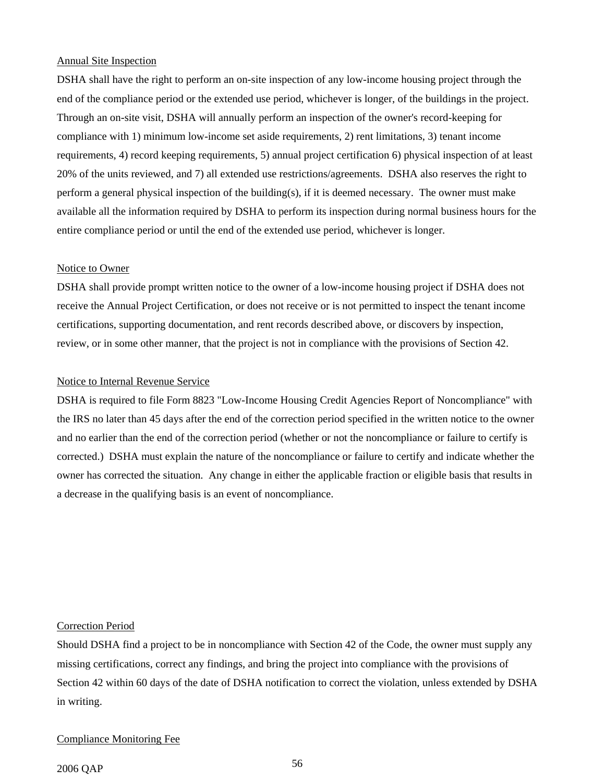#### Annual Site Inspection

DSHA shall have the right to perform an on-site inspection of any low-income housing project through the end of the compliance period or the extended use period, whichever is longer, of the buildings in the project. Through an on-site visit, DSHA will annually perform an inspection of the owner's record-keeping for compliance with 1) minimum low-income set aside requirements, 2) rent limitations, 3) tenant income requirements, 4) record keeping requirements, 5) annual project certification 6) physical inspection of at least 20% of the units reviewed, and 7) all extended use restrictions/agreements. DSHA also reserves the right to perform a general physical inspection of the building(s), if it is deemed necessary. The owner must make available all the information required by DSHA to perform its inspection during normal business hours for the entire compliance period or until the end of the extended use period, whichever is longer.

#### Notice to Owner

DSHA shall provide prompt written notice to the owner of a low-income housing project if DSHA does not receive the Annual Project Certification, or does not receive or is not permitted to inspect the tenant income certifications, supporting documentation, and rent records described above, or discovers by inspection, review, or in some other manner, that the project is not in compliance with the provisions of Section 42.

### Notice to Internal Revenue Service

DSHA is required to file Form 8823 "Low-Income Housing Credit Agencies Report of Noncompliance" with the IRS no later than 45 days after the end of the correction period specified in the written notice to the owner and no earlier than the end of the correction period (whether or not the noncompliance or failure to certify is corrected.) DSHA must explain the nature of the noncompliance or failure to certify and indicate whether the owner has corrected the situation. Any change in either the applicable fraction or eligible basis that results in a decrease in the qualifying basis is an event of noncompliance.

#### Correction Period

Should DSHA find a project to be in noncompliance with Section 42 of the Code, the owner must supply any missing certifications, correct any findings, and bring the project into compliance with the provisions of Section 42 within 60 days of the date of DSHA notification to correct the violation, unless extended by DSHA in writing.

#### Compliance Monitoring Fee

## 2006 QAP 56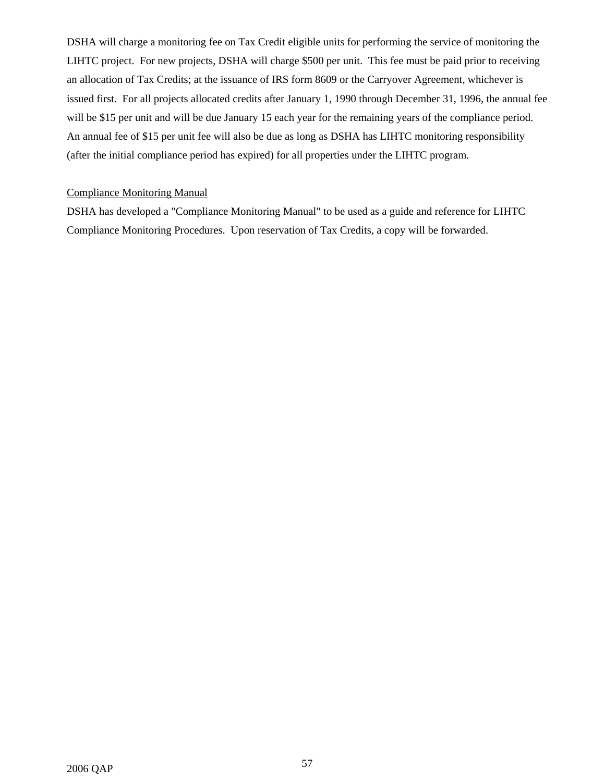DSHA will charge a monitoring fee on Tax Credit eligible units for performing the service of monitoring the LIHTC project. For new projects, DSHA will charge \$500 per unit. This fee must be paid prior to receiving an allocation of Tax Credits; at the issuance of IRS form 8609 or the Carryover Agreement, whichever is issued first. For all projects allocated credits after January 1, 1990 through December 31, 1996, the annual fee will be \$15 per unit and will be due January 15 each year for the remaining years of the compliance period. An annual fee of \$15 per unit fee will also be due as long as DSHA has LIHTC monitoring responsibility (after the initial compliance period has expired) for all properties under the LIHTC program.

## Compliance Monitoring Manual

DSHA has developed a "Compliance Monitoring Manual" to be used as a guide and reference for LIHTC Compliance Monitoring Procedures. Upon reservation of Tax Credits, a copy will be forwarded.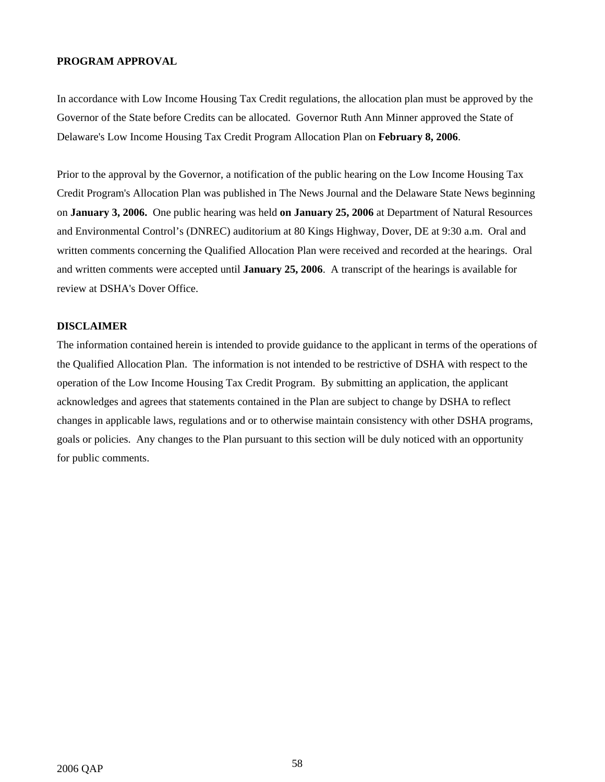#### **PROGRAM APPROVAL**

In accordance with Low Income Housing Tax Credit regulations, the allocation plan must be approved by the Governor of the State before Credits can be allocated. Governor Ruth Ann Minner approved the State of Delaware's Low Income Housing Tax Credit Program Allocation Plan on **February 8, 2006**.

Prior to the approval by the Governor, a notification of the public hearing on the Low Income Housing Tax Credit Program's Allocation Plan was published in The News Journal and the Delaware State News beginning on **January 3, 2006.** One public hearing was held **on January 25, 2006** at Department of Natural Resources and Environmental Control's (DNREC) auditorium at 80 Kings Highway, Dover, DE at 9:30 a.m. Oral and written comments concerning the Qualified Allocation Plan were received and recorded at the hearings. Oral and written comments were accepted until **January 25, 2006**. A transcript of the hearings is available for review at DSHA's Dover Office.

## **DISCLAIMER**

The information contained herein is intended to provide guidance to the applicant in terms of the operations of the Qualified Allocation Plan. The information is not intended to be restrictive of DSHA with respect to the operation of the Low Income Housing Tax Credit Program. By submitting an application, the applicant acknowledges and agrees that statements contained in the Plan are subject to change by DSHA to reflect changes in applicable laws, regulations and or to otherwise maintain consistency with other DSHA programs, goals or policies. Any changes to the Plan pursuant to this section will be duly noticed with an opportunity for public comments.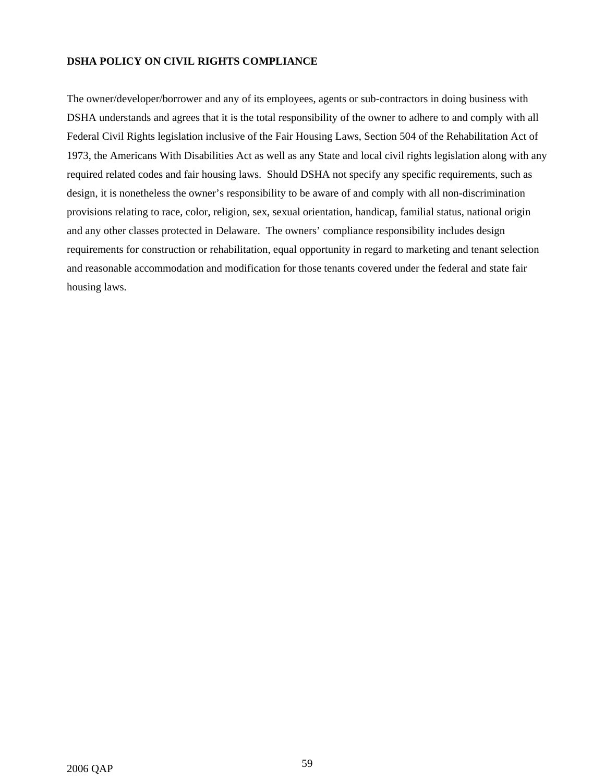## **DSHA POLICY ON CIVIL RIGHTS COMPLIANCE**

The owner/developer/borrower and any of its employees, agents or sub-contractors in doing business with DSHA understands and agrees that it is the total responsibility of the owner to adhere to and comply with all Federal Civil Rights legislation inclusive of the Fair Housing Laws, Section 504 of the Rehabilitation Act of 1973, the Americans With Disabilities Act as well as any State and local civil rights legislation along with any required related codes and fair housing laws. Should DSHA not specify any specific requirements, such as design, it is nonetheless the owner's responsibility to be aware of and comply with all non-discrimination provisions relating to race, color, religion, sex, sexual orientation, handicap, familial status, national origin and any other classes protected in Delaware. The owners' compliance responsibility includes design requirements for construction or rehabilitation, equal opportunity in regard to marketing and tenant selection and reasonable accommodation and modification for those tenants covered under the federal and state fair housing laws.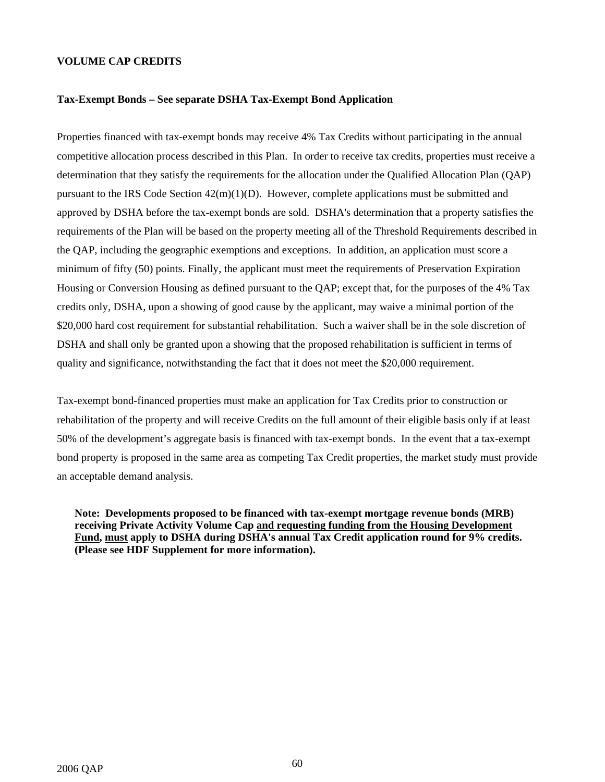#### **VOLUME CAP CREDITS**

#### **Tax-Exempt Bonds – See separate DSHA Tax-Exempt Bond Application**

Properties financed with tax-exempt bonds may receive 4% Tax Credits without participating in the annual competitive allocation process described in this Plan. In order to receive tax credits, properties must receive a determination that they satisfy the requirements for the allocation under the Qualified Allocation Plan (QAP) pursuant to the IRS Code Section  $42(m)(1)(D)$ . However, complete applications must be submitted and approved by DSHA before the tax-exempt bonds are sold. DSHA's determination that a property satisfies the requirements of the Plan will be based on the property meeting all of the Threshold Requirements described in the QAP, including the geographic exemptions and exceptions. In addition, an application must score a minimum of fifty (50) points. Finally, the applicant must meet the requirements of Preservation Expiration Housing or Conversion Housing as defined pursuant to the QAP; except that, for the purposes of the 4% Tax credits only, DSHA, upon a showing of good cause by the applicant, may waive a minimal portion of the \$20,000 hard cost requirement for substantial rehabilitation. Such a waiver shall be in the sole discretion of DSHA and shall only be granted upon a showing that the proposed rehabilitation is sufficient in terms of quality and significance, notwithstanding the fact that it does not meet the \$20,000 requirement.

Tax-exempt bond-financed properties must make an application for Tax Credits prior to construction or rehabilitation of the property and will receive Credits on the full amount of their eligible basis only if at least 50% of the development's aggregate basis is financed with tax-exempt bonds. In the event that a tax-exempt bond property is proposed in the same area as competing Tax Credit properties, the market study must provide an acceptable demand analysis.

**Note: Developments proposed to be financed with tax-exempt mortgage revenue bonds (MRB) receiving Private Activity Volume Cap and requesting funding from the Housing Development Fund, must apply to DSHA during DSHA's annual Tax Credit application round for 9% credits. (Please see HDF Supplement for more information).**